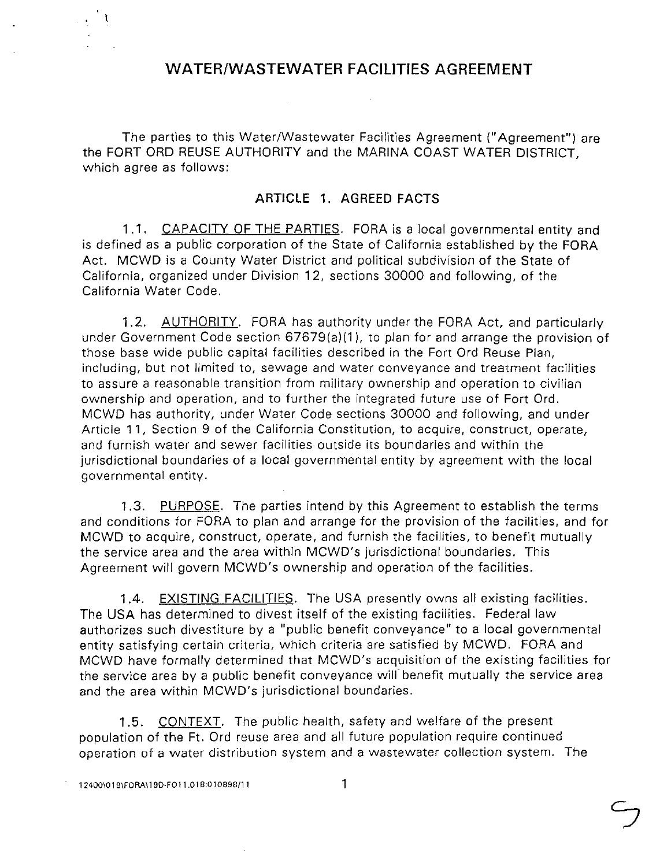## **WATER/WASTEWATER FACILITIES AGREEMENT**

The parties to this Water/Wastewater Facilities Agreement ("Agreement") are the FORT ORO REUSE AUTHORITY and the MARINA COAST WATER DISTRICT, which agree as follows:

## **ARTICLE 1. AGREED FACTS**

1.1. CAPACITY OF THE PARTIES. FORA is a local governmental entity and is defined as a public corporation of the State of California established by the FORA Act. MCWD is a County Water District and political subdivision of the State of California, organized under Division 12, sections 30000 and following, of the California Water Code.

1.2. AUTHORITY. FORA has authority under the FORA Act, and particularly under Government Code section 67679(a)(1). to plan for and arrange the provision of those base wide public capital facilities described in the Fort Ord Reuse Plan, including, but not limited to, sewage and water conveyance and treatment facilities to assure a reasonable transition from military ownership and operation to civilian ownership and operation, and to further the integrated future use of Fort Ord. MCWD has authority, under Water Code sections 30000 and following, and under Article 11, Section 9 of the California Constitution, to acquire, construct, operate, and furnish water and sewer facilities outside its boundaries and within the jurisdictional boundaries of a local governmental entity by agreement with the local governmental entity.

1.3. PURPOSE. The parties intend by this Agreement to establish the terms and conditions for FORA to plan and arrange for the provision of the facilities, and for MCWD to acquire, construct, operate, and furnish the facilities, to benefit mutually the service area and the area within MCWD's jurisdictional boundaries. This Agreement will govern MCWD's ownership and operation of the facilities.

1.4. EXISTING FACILITIES. The USA presently owns all existing facilities. The USA has determined to divest itself of the existing facilities. Federal law authorizes such divestiture by a "public benefit conveyance" to a local governmental entity satisfying certain criteria, which criteria are satisfied by MCWD. FORA and MCWD have formally determined that MCWD's acquisition of the existing facilities for the service area by a public benefit conveyance will benefit mutually the service area and the area within MCWD's jurisdictional boundaries.

1.5. CONTEXT. The public health, safety and welfare of the present population of the Ft. Ord reuse area and all future population require continued operation of a water distribution system and a wastewater collection system. The

ै १  $\mathcal{L}(\mathbf{q})$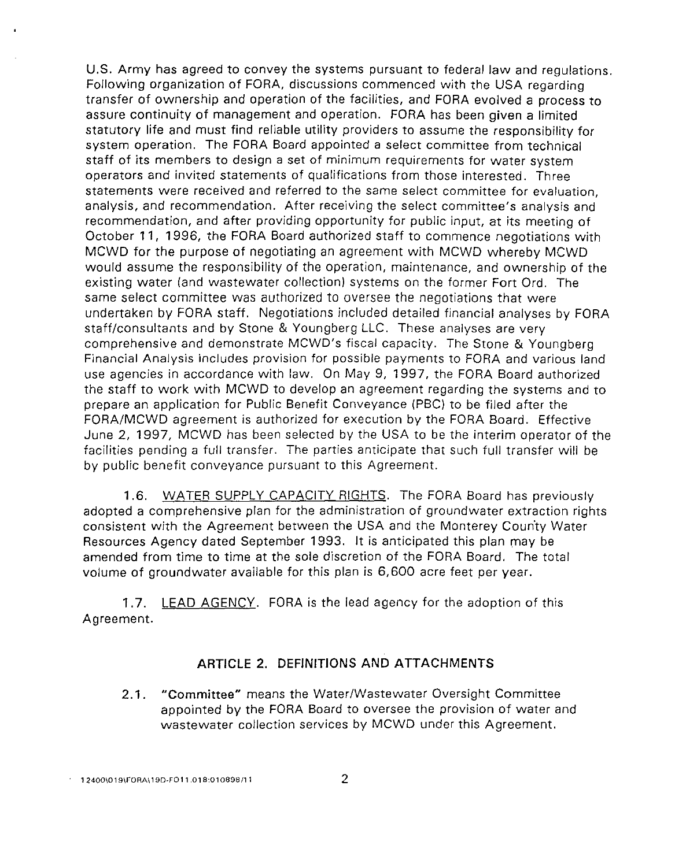U.S. Army has agreed to convey the systems pursuant to federal Jaw and regulations. Following organization of FORA, discussions commenced with the USA regarding transfer of ownership and operation of the facilities, and FORA evolved a process to assure continuity of management and operation. FORA has been given a limited statutory life and must find reliable utility providers to assume the responsibility for system operation. The FORA Board appointed a select committee from technical staff of its members to design a set of minimum requirements for water system operators and invited statements of qualifications from those interested. Three statements were received and referred to the same select committee for evaluation, analysis, and recommendation. After receiving the select committee's analysis and recommendation, and after providing opportunity for public input, at its meeting of October 11, 1996, the FORA Board authorized staff to commence negotiations with MCWD for the purpose of negotiating an agreement with MCWD whereby MCWD would assume the responsibility of the operation, maintenance, and ownership of the existing water (and wastewater collection) systems on the former Fort Ord. The same select committee was authorized to oversee the negotiations that were undertaken by FORA staff. Negotiations included detailed financial analyses by FORA staff/consultants and by Stone & Youngberg LLC. These analyses are very comprehensive and demonstrate MCWD's fiscal capacity. The Stone & Youngberg Financial Analysis includes provision for possible payments to FORA and various land use agencies in accordance with law. On May 9, 1997, the FORA Board authorized the staff to work with MCWD to develop an agreement regarding the systems and to prepare an application for Public Benefit Conveyance (PBC) to be filed after the FORA/MCWD agreement is authorized for execution by the FORA Board. Effective June 2, 1997, MCWD has been selected by the USA to be the interim operator of the facilities pending a full transfer. The parties anticipate that such full transfer will be by public benefit conveyance pursuant to this Agreement.

1.6. WATER SUPPLY CAPACITY RIGHTS. The FORA Board has previously adopted a comprehensive plan for the administration of groundwater extraction rights consistent with the Agreement between the USA and the Monterey Coun'ty Water Resources Agency dated September 1993. It is anticipated this plan may be amended from time to time at the sole discretion of the FORA Board. The total volume of groundwater available for this plan is 6,600 acre feet per year.

1.7. LEAD AGENCY. FORA is the lead agency for the adoption of this Agreement.

## ARTICLE 2. DEFINITIONS AND ATTACHMENTS

2.1. "Committee" means the Water/Wastewater Oversight Committee appointed by the FORA Board to oversee the provision of water and wastewater collection services by MCWD under this Agreement.

 $\cdot$  12400\019\FORA\19D-FO11.018:010898/11 22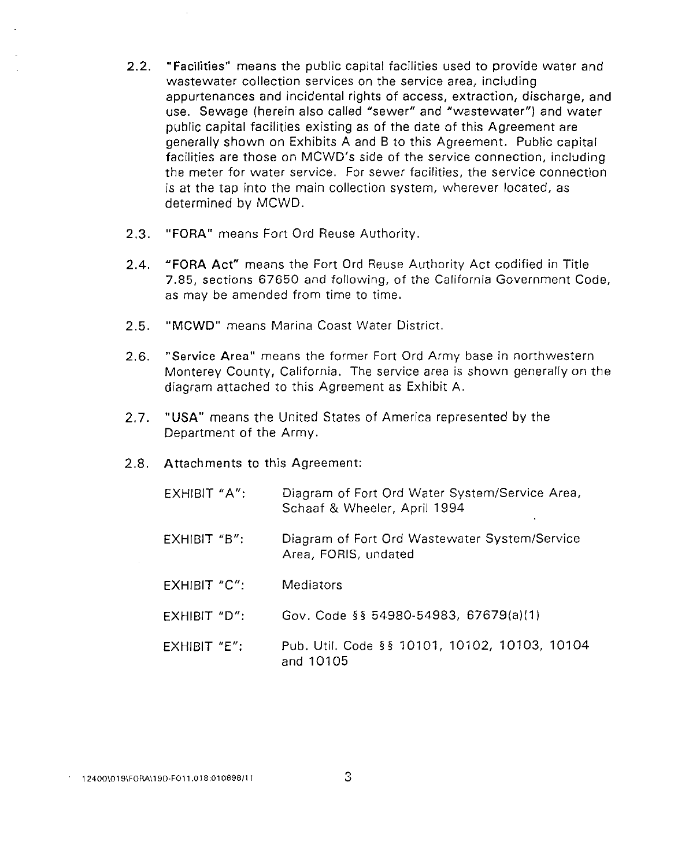- 2.2. **"Facilities"** means the public capital facilities used to provide water and wastewater collection services on the service area, including appurtenances and incidental rights of access, extraction, discharge, and use. Sewage (herein also called "sewer" and "wastewater") and water public capital facilities existing as of the date of this Agreement are generally shown on Exhibits A and B to this Agreement. Public capital facilities are those on MCWD's side of the service connection, including the meter for water service. For sewer facilities, the service connection is at the tap into the main collection system, wherever located, as determined by MCWD.
- 2.3. **"FORA"** means Fort Ord Reuse Authority.
- 2.4. **"FORA Act"** means the Fort Ord Reuse Authority Act codified in Title 7.85, sections 67650 and following, of the California Government Code, as may be amended from time to time.
- 2.5. **"MCWD"** means Marina Coast Water District.
- 2.6. "Service Area" means the former Fort Ord Army base in northwestern Monterey County, California. The service area is shown generally on the diagram attached to this Agreement as Exhibit A.
- 2.7. **"USA"** means the United States of America represented by the Department of the Army.
- 2.8. Attachments to this Agreement:

| EXHIBIT "A":   | Diagram of Fort Ord Water System/Service Area,<br>Schaaf & Wheeler, April 1994 |
|----------------|--------------------------------------------------------------------------------|
| $EXHIBIT$ "B": | Diagram of Fort Ord Wastewater System/Service<br>Area, FORIS, undated          |
| EXHIBIT "C":   | <b>Mediators</b>                                                               |
| EXHIBIT "D":   | Gov. Code §§ 54980-54983, 67679(a)(1)                                          |
| EXHIBIT "E":   | Pub. Util. Code §§ 10101, 10102, 10103, 10104<br>and 10105                     |

**12400\019\FORA\ 190-F011.018:01 0898111**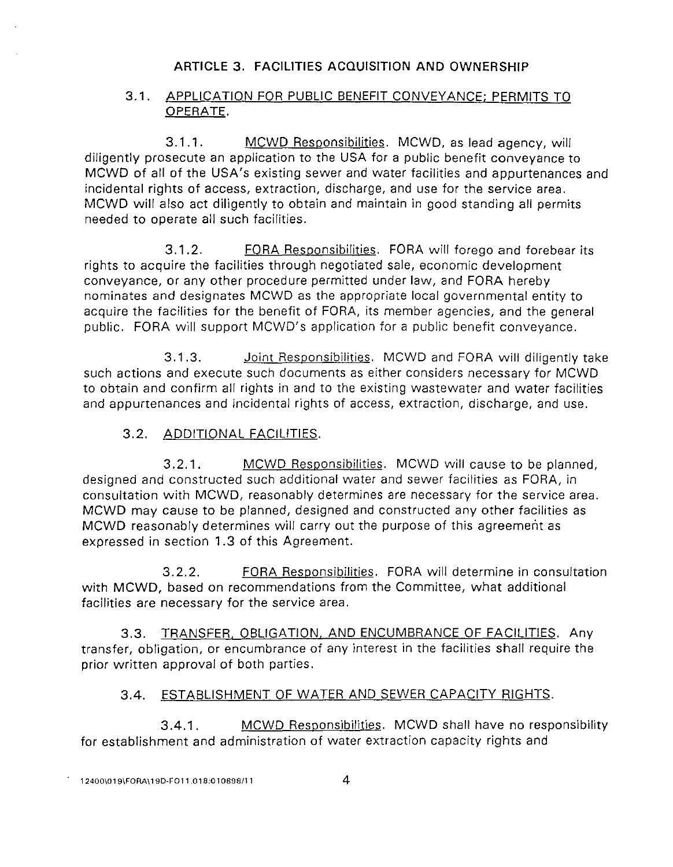## ARTICLE 3. FACILITIES ACQUISITION AND OWNERSHIP

## 3.1. APPLICATION FOR PUBLIC BENEFIT CONVEYANCE; PERMITS TO OPERATE.

3.1.1. MCWD Responsibilities. MCWD, as lead agency, will diligently prosecute an application to the USA for a public benefit conveyance to MCWD of all of the USA's existing sewer and water facilities and appurtenances and incidental rights of access, extraction, discharge, and use for the service area. MCWD will also act diligently to obtain and maintain in good standing all permits needed to operate all such facilities.

3.1.2. **FORA Responsibilities.** FORA will forego and forebear its rights to acquire the facilities through negotiated sale, economic development conveyance, or any other procedure permitted under law, and FORA hereby nominates and designates MCWD as the appropriate local governmental entity to acquire the facilities for the benefit of FORA, its member agencies, and the general public. FORA will support MCWD's application for a public benefit conveyance.

3.1.3. Joint Responsibilities. MCWD and FORA will diligently take such actions and execute such documents as either considers necessary for MCWD to obtain and confirm all rights in and to the existing wastewater and water facilities and appurtenances and incidental rights of access, extraction, discharge, and use.

## 3.2. ADDITIONAL FACILITIES.

3.2.1. MCWD Responsibilities. MCWD will cause to be planned, designed and constructed such additional water and sewer facilities as FORA, in consultation with MCWD, reasonably determines are necessary for the service area. MCWD may cause to be planned, designed and constructed any other facilities as MCWD reasonably determines will carry out the purpose of this agreement as expressed in section 1.3 of this Agreement.

3.2.2. FORA Responsibilities. FORA will determine in consultation with MCWD, based on recommendations from the Committee, what additional facilities are necessary for the service area.

3.3. TRANSFER. OBLIGATION. AND ENCUMBRANCE OF FACILITIES. Any transfer, obligation, or encumbrance of any interest in the facilities shall require the prior written approval of both parties.

## 3.4. ESTABLISHMENT OF WATER AND SEWER CAPACITY RIGHTS.

3.4.1. MCWD Responsibilities. MCWD shall have no responsibility for establishment and administration of water extraction capacity rights and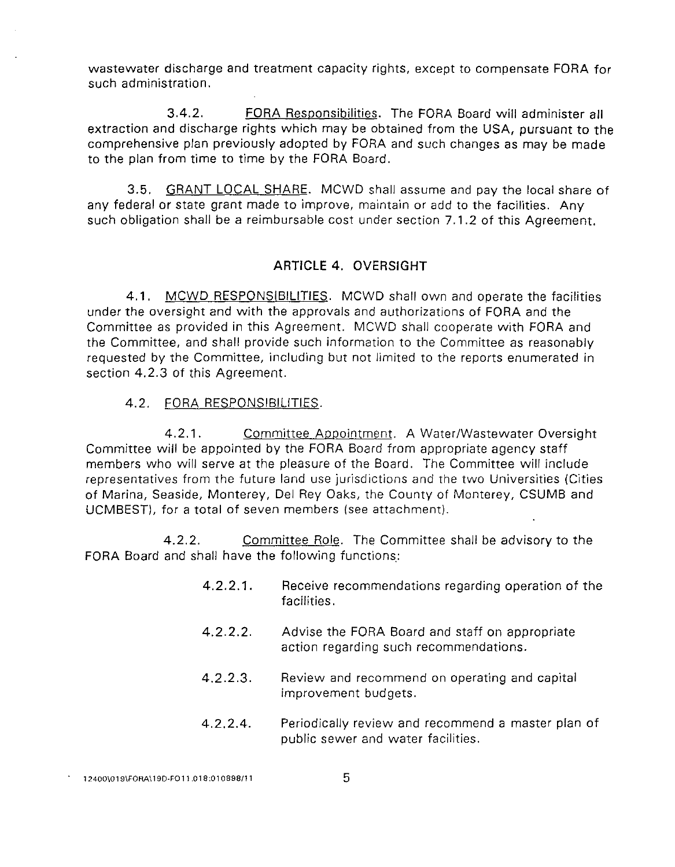wastewater discharge and treatment capacity rights, except to compensate FORA for such administration.

3.4.2. FORA Responsibilities. The FORA Board will administer all extraction and discharge rights which may be obtained from the USA, pursuant to the comprehensive plan previously adopted by FORA and such changes as may be made to the plan from time to time by the FORA Board.

3.5. GRANT LOCAL SHARE. MCWD shall assume and pay the local share of any federal or state grant made to improve, maintain or add to the facilities. Any such obligation shall be a reimbursable cost under section 7.1.2 of this Agreement.

## **ARTICLE 4.** OVERSIGHT

4.1. MCWD RESPONSIBILITIES. MCWD shall own and operate the facilities under the oversight and with the approvals and authorizations of FORA and the Committee as provided in this Agreement. MCWD shall cooperate with FORA and the Committee, and shall provide such information to the Committee as reasonably requested by the Committee, including but not limited to the reports enumerated in section 4.2.3 of this Agreement.

## 4.2. FORA RESPONSIBILITIES.

4.2.1. Committee Appointment. A Water/Wastewater Oversight Committee will be appointed by the FORA Board from appropriate agency staff members who will serve at the pleasure of the Board. The Committee will include representatives from the future land use jurisdictions and the two Universities (Cities of Marina, Seaside, Monterey, Del Rey Oaks, the County of Monterey, CSUMB and UCMBEST), for a total of seven members (see attachment).

4.2.2. Committee Role. The Committee shall be advisory to the FORA Board and shall have the following functions.:

- 4.2.2.1. Receive recommendations regarding operation of the facilities.
- 4.2.2.2. Advise the FORA Board and staff on appropriate action regarding such recommendations.
- 4.2.2.3. Review and recommend on operating and capital improvement budgets.
- 4.2.2.4. Periodically review and recommend a master plan of public sewer and water facilities.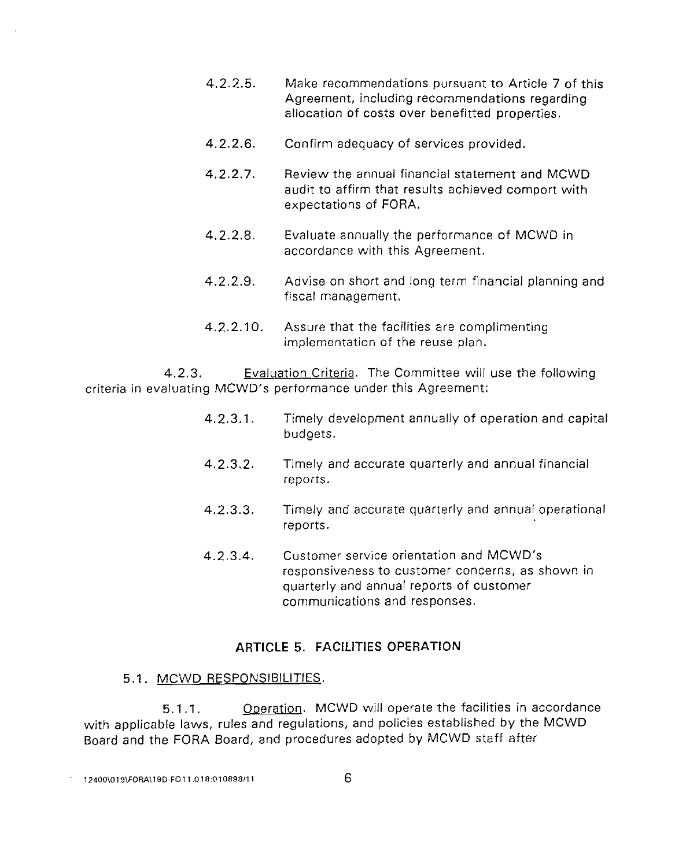- 4.2.2.5. Make recommendations pursuant to Article 7 of this Agreement, including recommendations regarding allocation of costs over benefitted properties.
- 4.2.2.6. Confirm adequacy of services provided.
- 4.2.2.7. Review the annual financial statement and MCWD audit to affirm that results achieved comport with expectations of FORA.
- 4.2.2.8. Evaluate annually the performance of MCWD in accordance with this Agreement.
- 4.2.2.9. Advise on short and long term financial planning and fiscal management.
- 4.2.2.10. Assure that the facilities are complimenting implementation of the reuse plan.

4.2.3. Evaluation Criteria. The Committee will use the following criteria in evaluating MCWD's performance under this Agreement:

- 4.2.3.1. Timely development annually of operation and capital budgets.
- 4.2.3.2. Timely and accurate quarterly and annual financial reports.
- 4.2.3.3. Timely and accurate quarterly and annual operational reports.
- 4.2.3.4. Customer service orientation and MCWD's responsiveness to customer concerns, as shown in quarterly and annual reports of customer communications and responses.

## **ARTICLE 5. FACILITIES OPERATION**

## 5.1. MCWD RESPONSIBILITIES.

5.1.1. Operation. MCWD will operate the facilities in accordance with applicable laws, rules and regulations, and policies established by the MCWD Board and the FORA Board, and procedures adopted by MCWD staff after

**12400\019\FORA\ 190-FO 11 .018:01 0898/1 1** 6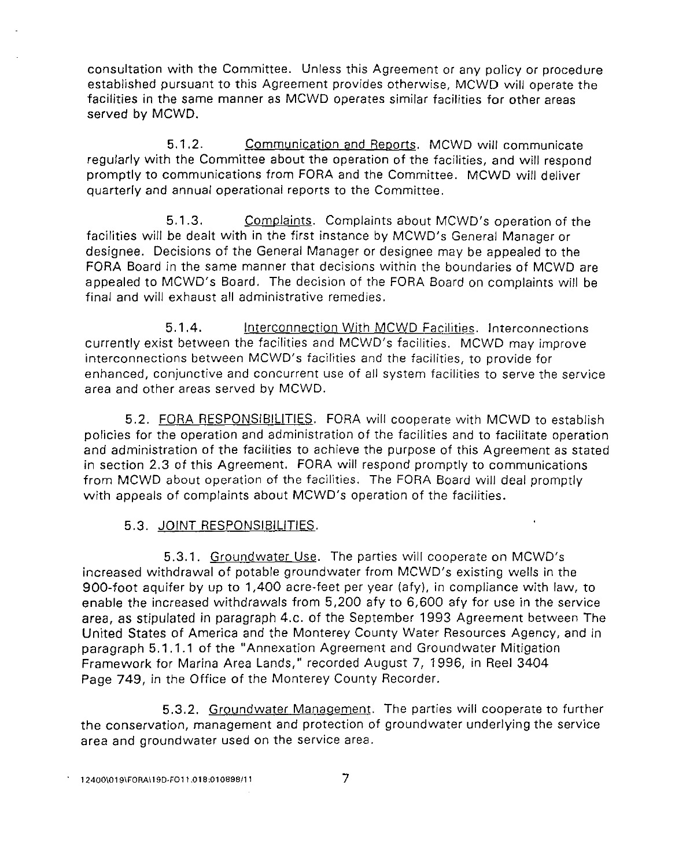consultation with the Committee. Unless this Agreement or any policy or procedure established pursuant to this Agreement provides otherwise, MCWD will operate the facilities in the same manner as MCWD operates similar facilities for other areas served by MCWD.

5.1.2. Communication and Reports. MCWD will communicate regularly with the Committee about the operation of the facilities, and will respond promptly to communications from FORA and the Committee. MCWD will deliver quarterly and annual operational reports to the Committee.

5.1.3. Complaints. Complaints about MCWD's operation of the facilities will be dealt with in the first instance by MCWD's General Manager or designee. Decisions of the General Manager or designee may be appealed to the FORA Board in the same manner that decisions within the boundaries of MCWD are appealed to MCWD's Board. The decision of the FORA Board on complaints will be final and will exhaust all administrative remedies.

5.1 .4. Interconnection With MCWD Facilities. Interconnections currently exist between the facilities and MCWD's facilities. MCWD may improve interconnections between MCWD's facilities and the facilities, to provide for enhanced, conjunctive and concurrent use of all system facilities to serve the service area and other areas served by MCWD.

5.2. FORA RESPONSIBILITIES. FORA will cooperate with MCWD to establish policies for the operation and administration of the facilities and to facilitate operation and administration of the facilities to achieve the purpose of this Agreement as stated in section 2.3 of this Agreement. FORA will respond promptly to communications from MCWD about operation of the facilities. The FORA Board will deal promptly with appeals of complaints about MCWD's operation of the facilities.

## 5.3. JOINT RESPONSIBILITIES.

5.3.1. Ground water Use. The parties will cooperate on MCWD's increased withdrawal of potable groundwater from MCWD's existing wells in the 900-foot aquifer by up to 1,400 acre-feet per year (afy), in compliance with law, to enable the increased withdrawals from 5,200 afy to 6,600 afy for use in the service area, as stipulated in paragraph 4.c. of the September 1993 Agreement between The United States of America and the Monterey County Water Resources Agency, and in paragraph 5.1.1.1 of the "Annexation Agreement and Groundwater Mitigation Framework for Marina Area Lands," recorded August 7, 1996, in Reel 3404 Page 749, in the Office of the Monterey County Recorder.

5.3.2. Groundwater Management. The parties will cooperate to further the conservation, management and protection of groundwater underlying the service area and groundwater used on the service area.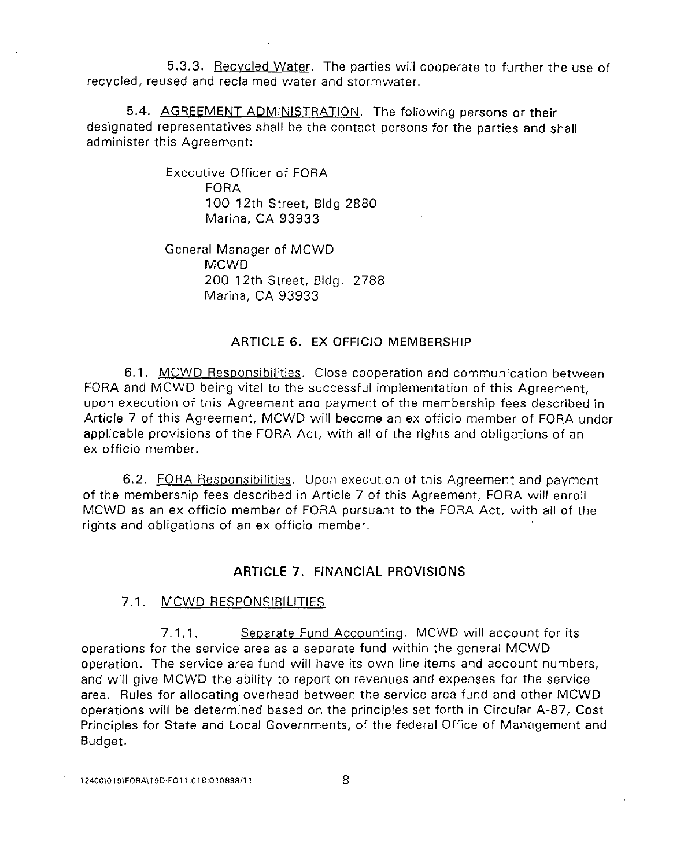5.3.3. Recycled Water. The parties will cooperate to further the use of recycled, reused and reclaimed water and stormwater.

5.4. AGREEMENT ADMINISTRATION. The following persons or their designated representatives shall be the contact persons for the parties and shall administer this Agreement:

> Executive Officer of FORA FORA 100 12th Street, Bldg 2880 Marina, CA 93933

General Manager of MCWD MCWD 200 12th Street, Bldg. 2788 Marina, CA 93933

## ARTICLE 6. EX OFFICIO MEMBERSHIP

6.1. MCWD Responsibilities. Close cooperation and communication between FORA and MCWD being vital to the successful implementation of this Agreement, upon execution of this Agreement and payment of the membership fees described in Article 7 of this Agreement, MCWD will become an ex officio member of FORA under applicable provisions of the FORA Act, with all of the rights and obligations of an ex officio member.

6.2. FORA Responsibilities. Upon execution of this Agreement and payment of the membership fees described in Article 7 of this Agreement, FORA will enroll MCWD as an ex officio member of FORA pursuant to the FORA Act, with all of the rights and obligations of an ex officio member.

## **ARTICLE** 7. FINANCIAL PROVISIONS

## 7 .1. MCWD RESPONSIBILITIES

7.1.1. Separate Fund Accounting. MCWD will account for its operations for the service area as a separate fund within the general MCWD operation. The service area fund will have its own line items and account numbers, and will give MCWD the ability to report on revenues and expenses for the service area. Rules for allocating overhead between the service area fund and other MCWD operations will be determined based on the principles set forth in Circular A-87, Cost Principles for State and Local Governments, of the federal Office of Management and Budget.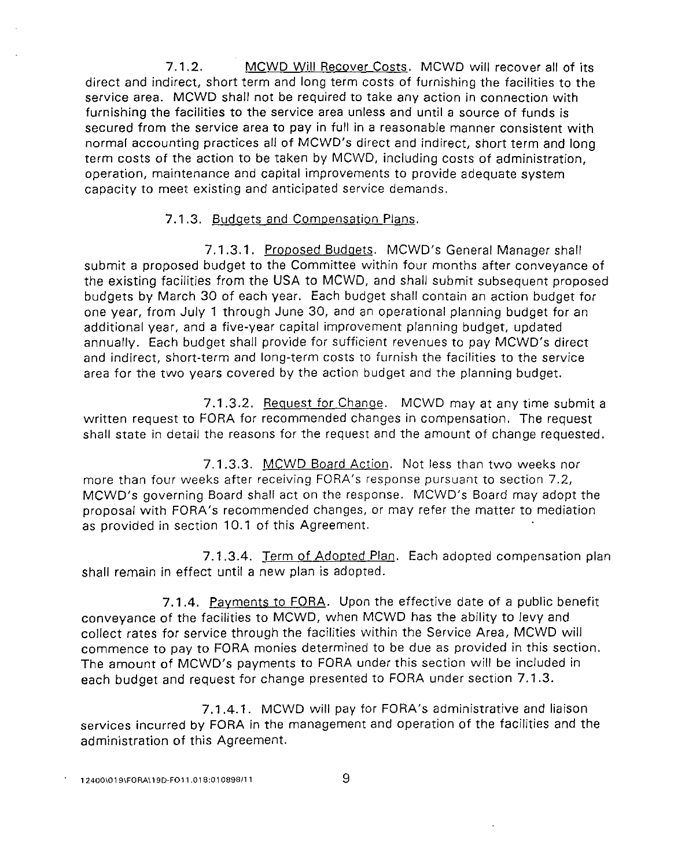7.1.2. MCWD Will Recover Costs. MCWD will recover all of its direct and indirect, short term and long term costs of furnishing the facilities to the service area. MCWD shall not be required to take any action in connection with furnishing the facilities to the service area unless and until a source of funds is secured from the service area to pay in full in a reasonable manner consistent with normal accounting practices all of MCWD's direct and indirect, short term and long term costs of the action to be taken by MCWD, including costs of administration, operation, maintenance and capital improvements to provide adequate system capacity to meet existing and anticipated service demands.

## 7.1.3. Budgets and Compensation Plans.

7.1.3.1. Proposed Budgets. MCWD's General Manager shall submit a proposed budget to the Committee within four months after conveyance of the existing facilities from the USA to MCWD, and shall submit subsequent proposed budgets by March 30 of each year. Each budget shall contain an action budget for one year, from July 1 through June 30, and an operational planning budget for an additional year, and a five-year capital improvement planning budget, updated annually. Each budget shall provide for sufficient revenues to pay MCWD's direct and indirect, short-term and long-term costs to furnish the facilities to the service area for the two years covered by the action budget and the planning budget.

7.1.3.2. Request for Change. MCWD may at any time submit a written request to FORA for recommended changes in compensation. The request shall state in detail the reasons for the request and the amount of change requested.

7.1.3.3. MCWD Board Action. Not less than two weeks nor more than four weeks after receiving FORA's response pursuant to section 7.2, MCWD's governing Board shall act on the response. MCWD's Board may adopt the proposal with FORA's recommended changes, or may refer the matter to mediation as provided in section 10.1 of this Agreement.

7.1.3.4. Term of Adopted Plan. Each adopted compensation plan shall remain in effect until a new plan is adopted.

7.1.4. Payments to FORA. Upon the effective date of a public benefit conveyance of the facilities to MCWD, when MCWD has the ability to levy and collect rates for service through the facilities within the Service Area, MCWD will commence to pay to FORA monies determined to be due as provided in this section. The amount of MCWD's payments to FORA under this section will be included in each budget and request for change presented to FORA under section 7.1.3.

7 .1.4.1. MCWD will pay for FORA's administrative and liaison services incurred by FORA in the management and operation of the facilities and the administration of this Agreement.

12400\019\FORA\19D-FO11.018:010898/11 9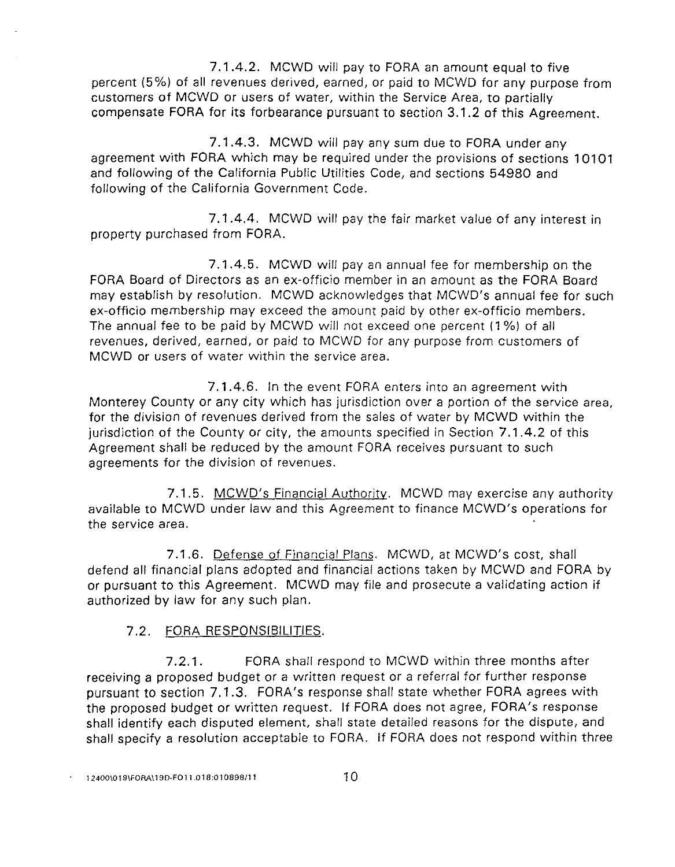7.1.4.2. MCWD will pay to FORA an amount equal to five percent (5 %) of all revenues derived, earned, or paid to MCWD for any purpose from customers of MCWD or users of water, within the Service Area, to partially compensate FORA for its forbearance pursuant to section 3.1.2 of this Agreement.

7 .1.4.3. MCWD will pay any sum due to FORA under any agreement with FORA which may be required under the provisions of sections 10101 and following of the California Public Utilities Code, and sections 54980 and following of the California Government Code.

7.1.4.4. MCWD will pay the fair market value of any interest in property purchased from FORA.

7.1.4.5. MCWD will pay an annual fee for membership on the FORA Board of Directors as an ex-officio member in an amount as the FORA Board may establish by resolution. MCWD acknowledges that MCWD's annual fee for such ex-officio membership may exceed the amount paid by other ex-officio members. The annual fee to be paid by MCWD will not exceed one percent (1%) of all revenues, derived, earned, or paid to MCWD for any purpose from customers of MCWD or users of water within the service area.

7.1.4.6. In the event FORA enters into an agreement with Monterey County or any city which has jurisdiction over a portion of the service area, for the division of revenues derived from the sales of water by MCWD within the jurisdiction of the County or city, the amounts specified in Section 7.1.4.2 of this Agreement shall be reduced by the amount FORA receives pursuant to such agreements for the division of revenues.

7.1.5. MCWD's Financial Authority. MCWD may exercise any authority available to MCWD under law and this Agreement to finance MCWD's operations for the service area.

7 .1.6. Defense of Financial Plans. MCWD, at MCWD's cost, shall defend all financial plans adopted and financial actions taken by MCWD and FORA by or pursuant to this Agreement. MCWD may file and prosecute a validating action if authorized by law for any such plan.

## 7.2. FORA RESPONSIBILITIES.

7.2.1. FORA shall respond to MCWD within three months after receiving a proposed budget or a written request or a referral for further response pursuant to section 7.1.3. FORA's response shall state whether FORA agrees with the proposed budget or written request. If FORA does not agree, FORA's response shall identify each disputed element, shall state detailed reasons for the dispute, and shall specify a resolution acceptable to FORA. If FORA does not respond within three

**12400\019\FORA\ 190-FOll.Ol 8:010898111** 10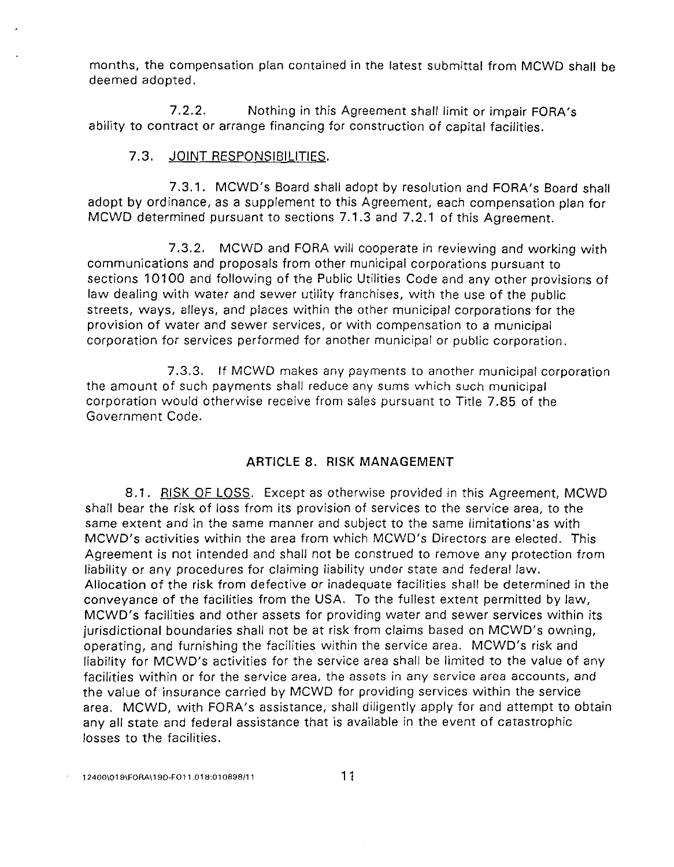months, the compensation plan contained in the latest submittal from MCWD shall be deemed adopted.

7.2.2. Nothing in this Agreement shall limit or impair FORA's ability to contract or arrange financing for construction of capital facilities.

## 7.3. JOINT RESPONSIBILITIES.

7.3.1. MCWD's Board shall adopt by resolution and FORA's Board shall adopt by ordinance, as a supplement to this Agreement, each compensation plan for MCWD determined pursuant to sections 7.1.3 and 7.2.1 of this Agreement.

7.3.2. MCWD and FORA will cooperate in reviewing and working with communications and proposals from other municipal corporations pursuant to sections 10100 and following of the Public Utilities Code and any other provisions of law dealing with water and sewer utility franchises, with the use of the public streets, ways, alleys, and places within the other municipal corporations for the provision of water and sewer services, or with compensation to a municipal corporation for services performed for another municipal or public corporation.

7 .3.3. If MCWD makes any payments to another municipal corporation the amount of such payments shall reduce any sums which such municipal corporation would otherwise receive from sales pursuant to Title 7.85 of the Government Code.

## ARTICLE 8. RISK MANAGEMENT

8.1. RISK OF LOSS. Except as otherwise provided in this Agreement, MCWD shall bear the risk of loss from its provision of services to the service area, to the same extent and in the same manner and subject to the same limitations·as with MCWD's activities within the area from which MCWD's Directors are elected. This Agreement is not intended and shall not be construed to remove any protection from liability or any procedures for claiming liability under state and federal law. Allocation of the risk from defective or inadequate facilities shall be determined in the conveyance of the facilities from the USA. To the fullest extent permitted by law, MCWD's facilities and other assets for providing water and sewer services within its jurisdictional boundaries shall not be at risk from claims based on MCWD's owning, operating, and furnishing the facilities within the service area. MCWD's risk and liability for MCWD's activities for the service area shall be limited to the value of any facilities within or for the service area, the assets in any service area accounts, and the value of insurance carried by MCWD for providing services within the service area. MCWD, with FORA's assistance, shall diligently apply for and attempt to obtain any all state and federal assistance that is available in the event of catastrophic losses to the facilities.

**12400\019\FORA\ 190-FOll .018:010898/11** 11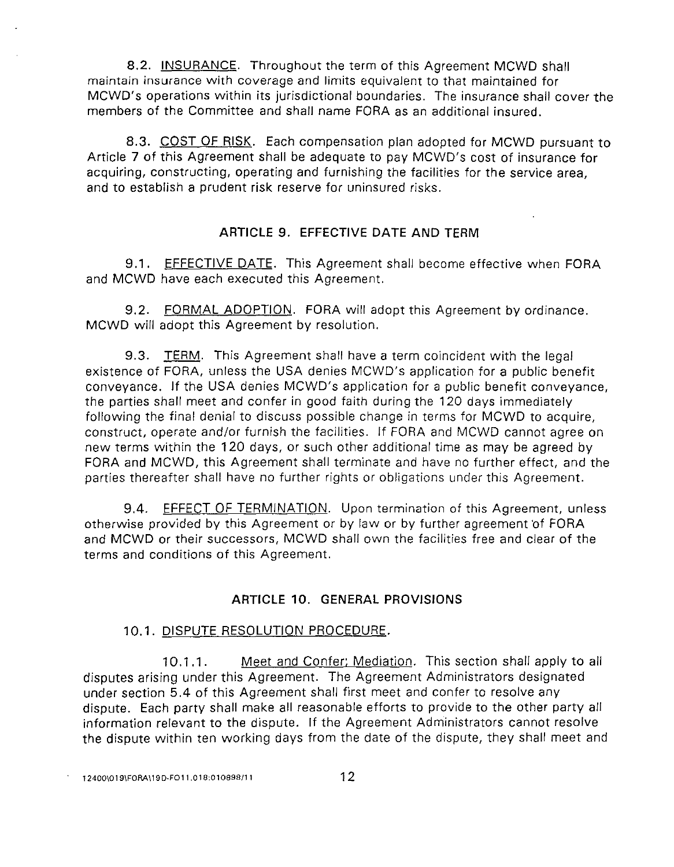8.2. INSURANCE. Throughout the term of this Agreement MCWD shall maintain insurance with coverage and limits equivalent to that maintained for MCWD's operations within its jurisdictional boundaries. The insurance shall cover the members of the Committee and shall name FORA as an additional insured.

8.3. COST OF RISK. Each compensation plan adopted for MCWD pursuant to Article 7 of this Agreement shall be adequate to pay MCWD's cost of insurance for acquiring, constructing, operating and furnishing the facilities for the service area, and to establish a prudent risk reserve for uninsured risks.

## **ARTICLE 9. EFFECTIVE DATE AND TERM**

9.1. EFFECTIVE DATE. This Agreement shall become effective when FORA and MCWD have each executed this Agreement.

9.2. FORMAL ADOPTION. FORA will adopt this Agreement by ordinance. MCWD will adopt this Agreement by resolution.

9.3. TERM. This Agreement shall have a term coincident with the legal existence of FORA, unless the USA denies MCWD's application for a public benefit conveyance. If the USA denies MCWD's application for a public benefit conveyance, the parties shall meet and confer in good faith during the 120 days immediately following the final denial to discuss possible change in terms for MCWD to acquire, construct, operate and/or furnish the facilities. If FORA and MCWD cannot agree on new terms within the 120 days, or such other additional time as may be agreed by FORA and MCWD, this Agreement shall terminate and have no further effect, and the parties thereafter shall have no further rights or obligations under this Agreement.

9.4. **EFFECT OF TERMINATION.** Upon termination of this Agreement, unless otherwise provided by this Agreement or by law or by further agreement 'of FORA and MCWD or their successors, MCWD shall own the facilities free and clear of the terms and conditions of this Agreement.

## **ARTICLE 10. GENERAL PROVISIONS**

## 10.1. DISPUTE RESOLUTION PROCEDURE.

1 0.1.1. Meet and Confer: Mediation. This section shall apply to all disputes arising under this Agreement. The Agreement Administrators designated under section 5.4 of this Agreement shall first meet and confer to resolve any dispute. Each party shall make all reasonable efforts to provide to the other party all information relevant to the dispute. If the Agreement Administrators cannot resolve the dispute within ten working days from the date of the dispute, they shall meet and

**12400\019\FORA\19D-F011.018:01089BJ11** 12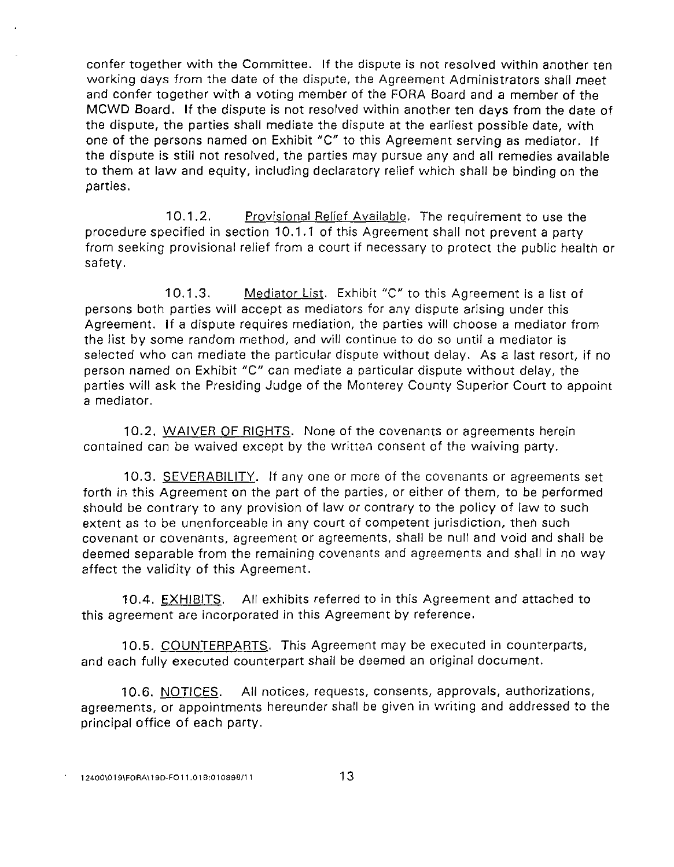confer together with the Committee. If the dispute is not resolved within another ten working days from the date of the dispute, the Agreement Administrators shall meet and confer together with a voting member of the FORA Board and a member of the MCWD Board. If the dispute is not resolved within another ten days from the date of the dispute, the parties shall mediate the dispute at the earliest possible date, with one of the persons named on Exhibit "C" to this Agreement serving as mediator. If the dispute is still not resolved, the parties may pursue any and all remedies available to them at law and equity, including declaratory relief which shall be binding on the parties.

10.1.2. Provisional Relief Available. The requirement to use the procedure specified in section 10.1.1 of this Agreement shall not prevent a party from seeking provisional relief from a court if necessary to protect the public health or safety.

**1** 0.1.3. Mediator List. Exhibit "C" to this Agreement is a list of persons both parties will accept as mediators for any dispute arising under this Agreement. If a dispute requires mediation, the parties will choose a mediator from the list by some random method, and will continue to do so until a mediator is selected who can mediate the particular dispute without delay. As a last resort, if no person named on Exhibit "C" can mediate a particular dispute without delay, the parties will ask the Presiding Judge of the Monterey County Superior Court to appoint a mediator.

10.2. WAIVER OF RIGHTS. None of the covenants or agreements herein contained can be waived except by the written consent of the waiving party.

1 0.3. SEVERABILITY. If any one or more of the covenants or agreements set forth in this Agreement on the part of the parties, or either of them, to be performed should be contrary to any provision of law or contrary to the policy of law to such extent as to be unenforceable in any court of competent jurisdiction, then such covenant or covenants, agreement or agreements, shall be null and void and shall be deemed separable from the remaining covenants and agreements and shall in no way affect the validity of this Agreement.

10.4. EXHIBITS. All exhibits referred to in this Agreement and attached to this agreement are incorporated in this Agreement by reference.

10.5. COUNTERPARTS. This Agreement may be executed in counterparts, and each fully executed counterpart shall be deemed an original document.

10.6. NOTICES. All notices, requests, consents, approvals, authorizations, agreements, or appointments hereunder shall be given in writing and addressed to the principal office of each party.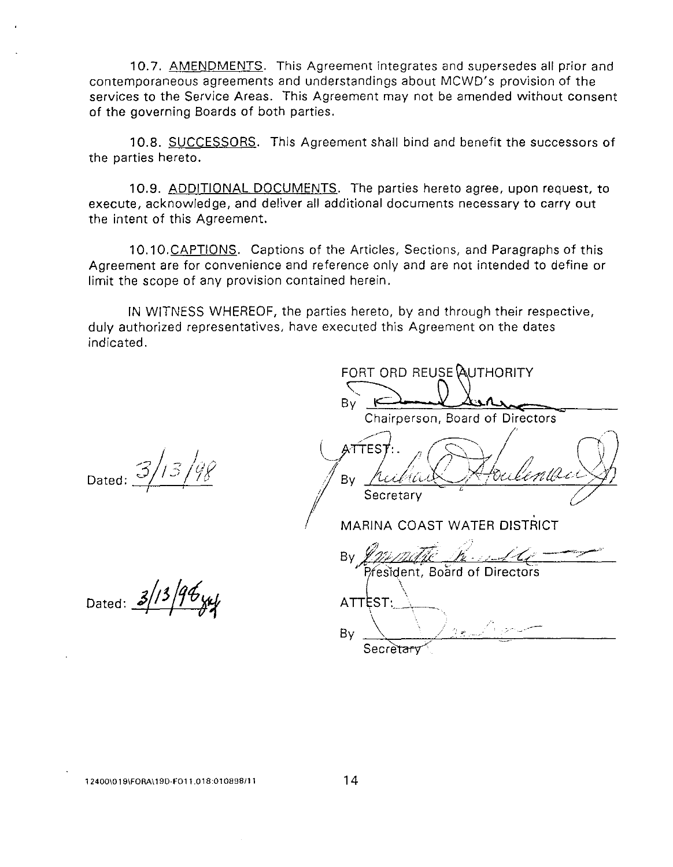10.7. AMENDMENTS. This Agreement integrates and supersedes all prior and contemporaneous agreements and understandings about MCWD's provision of the services to the Service Areas. This Agreement may not be amended without consent of the governing Boards of both parties.

10.8. SUCCESSORS. This Agreement shall bind and benefit the successors of the parties hereto.

10.9. ADDITIONAL DOCUMENTS. The parties hereto agree, upon request, to execute, acknowledge, and deliver all additional documents necessary to carry out the intent of this Agreement.

10.10. CAPTIONS. Captions of the Articles, Sections, and Paragraphs of this Agreement are for convenience and reference only and are not intended to define or limit the scope of any provision contained herein.

IN WITNESS WHEREOF, the parties hereto, by and through their respective, duly authorized representatives, have executed this Agreement on the dates indicated.

FORT ORD REUSE AUTHORITY By Chairperson, Board of Directors ATTES<sup>-</sup> /7 'enta By Dated:  $\mathcal{Y}$ Secretary MARINA COAST WATER DISTRICT **Bv** President, Board of Directors Dated:  $3/13/96$ yy ATTEST:  $\bigcup_{\alpha\in\mathbb{Z}}$ By Secrètar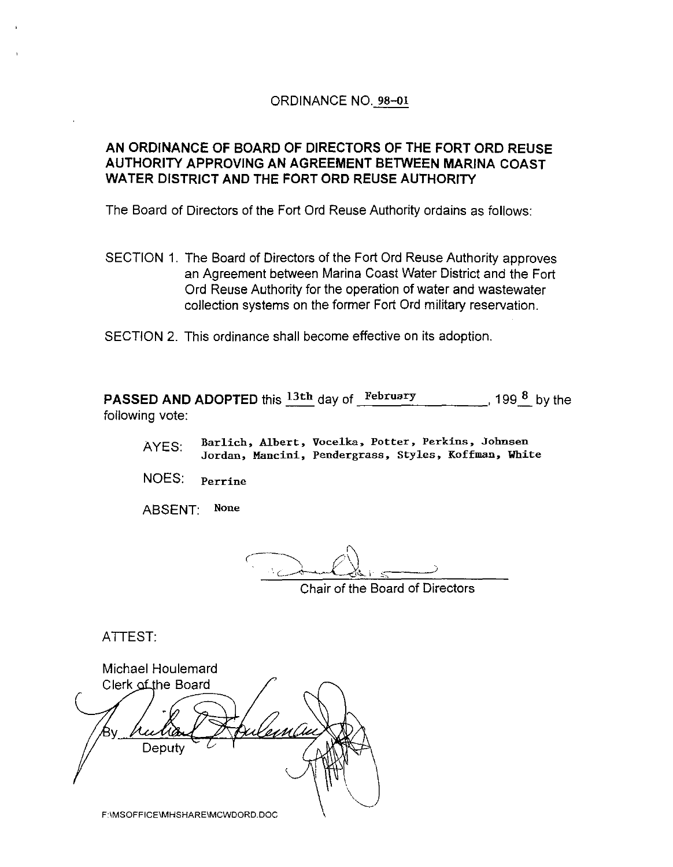## ORDINANCE NO. 98-ol

## **AN ORDINANCE OF BOARD OF DIRECTORS OF THE FORT ORO REUSE AUTHORITY APPROVING AN AGREEMENT BETWEEN MARINA COAST WATER DISTRICT AND THE FORT ORO REUSE AUTHORITY**

The Board of Directors of the Fort Ord Reuse Authority ordains as follows:

SECTION 1. The Board of Directors of the Fort Ord Reuse Authority approves an Agreement between Marina Coast Water District and the Fort Ord Reuse Authority for the operation of water and wastewater collection systems on the former Fort Ord military reservation.

SECTION 2. This ordinance shall become effective on its adoption.

**PASSED AND ADOPTED** this  $\frac{13th}{s}$  day of  $\frac{\text{February}}{\text{?}}$  199 $\frac{8}{s}$  by the following vote:

AYES: **Barlich, Albert, Vocelka, Potter, Perkins, Johnsen Jordan, Mancini, Pendergrass, Styles, Koffman, White** 

NOES: **Perrine** 

ABSENT: None

Chair of the Board of Directors

ATTEST:

Michael Houlemard Clerk of the Board Deputy F:\MSOFFICE\MHSHARE\MCWDORD.DOC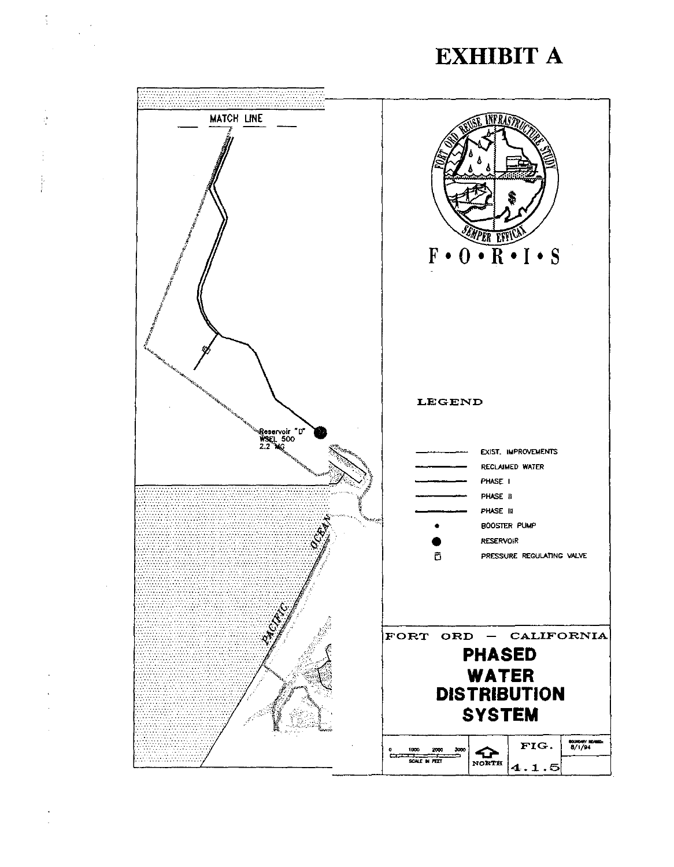# **EXHIBIT A**



 $\frac{1}{2}$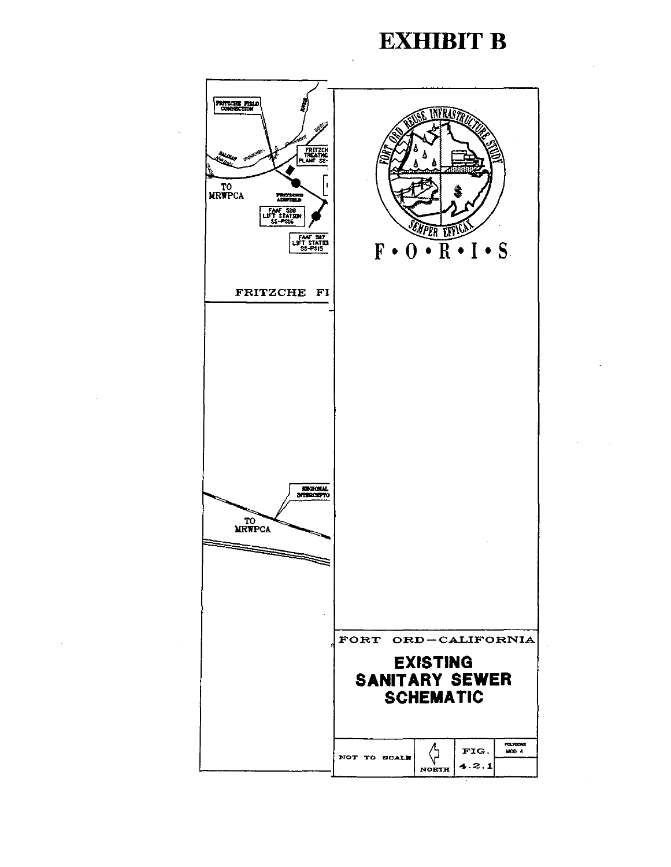## **EXHIBIT B**

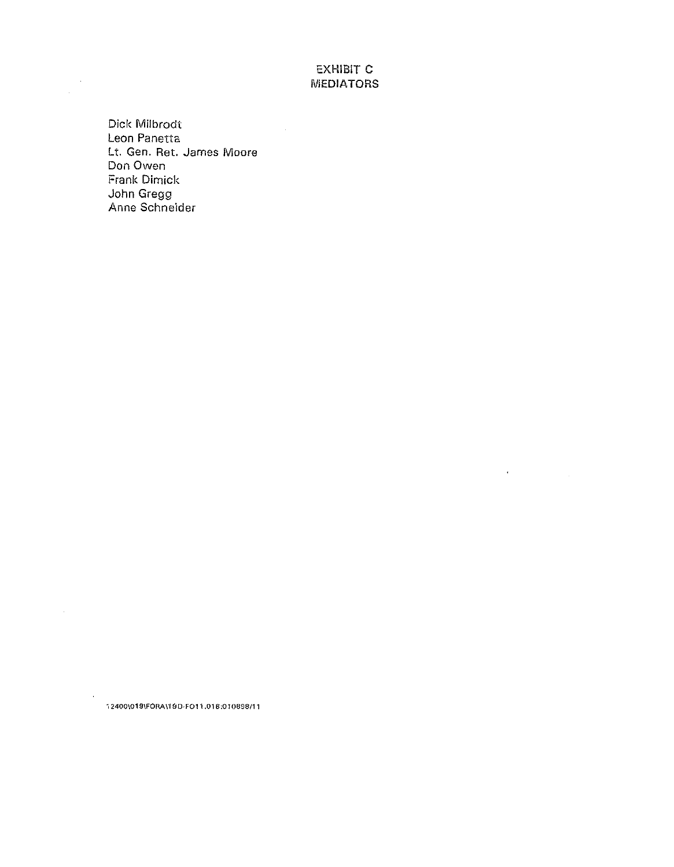## EXHIBIT C *NIEDIATORS*

 $\mathcal{L}(\mathcal{L}^{\text{max}}_{\text{max}})$  and  $\mathcal{L}^{\text{max}}_{\text{max}}$ 

Dick Milbrodt Leon Panetta Lt. Gen. Ret. James Moore Don Owen Frank Dimick John Gregg Anne Schneider

 $\ddot{\phantom{a}}$ 

·, **2400\019\FORA\19D·F011.01 8:010698/11** 

 $\bar{z}$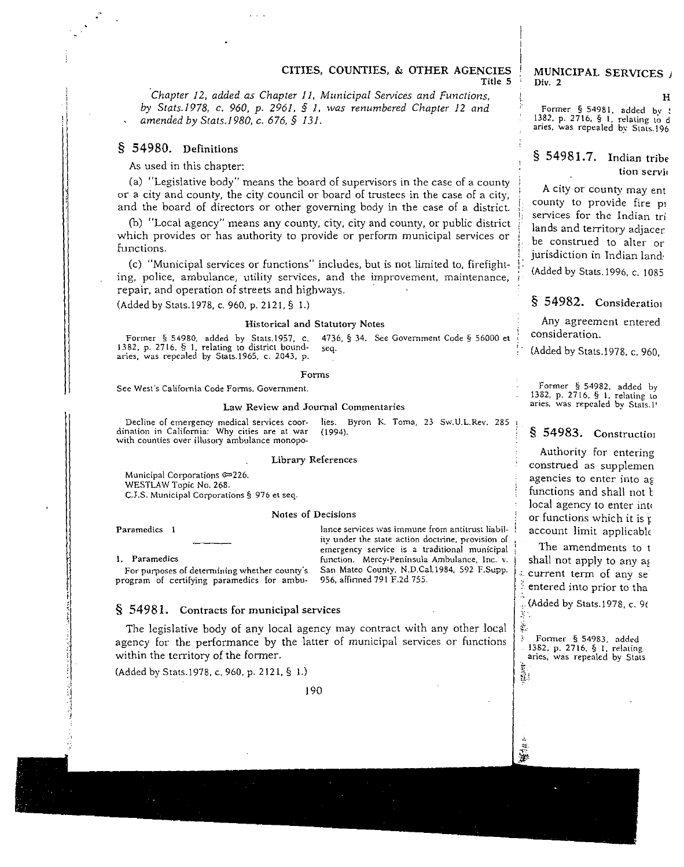*Chapter 12, added as Chapter 11, Municipal Services and Functions, by Stats.1978, c. 960, p. 2961, § 1, was renumbered Chapter 12 and amended by Stats.1980, c. 676,* § *131.* 

## § 54980. Definitions

As used in this chapter:

(a) "Legislative body" means the board of supervisors in the case of a county or a city and county, the city council or board of trustees in the case of a city, and the board of directors or other governing body in the case of a district.

(b) "Local agency" means any county, city, city and county, or public district which provides or has authority to provide or perform municipal services or functions.

(c) "Municipal services or functions" includes, but is not limited to, firefight**ing, police, ambulance, utility services, and the improvement, maintenance, <sup>i</sup>** repair, and operation of streets and highways.

(Added by Stats.\978, c. 960, p. 2121, § 1.)

#### **Historical and Statutory Notes**

**Former § 54980, added by Stats.1957, c. 4736, § 34. See Government Code§ 56000 et 1382, p. 2716, § 1, relating to district bound- seq. aries, was repealed by Stats.1965, c. 2043, p.** 

#### **Forms**

**Sec West's California Code Forms. Government.** 

#### **Law Review and Journal Commentaries**

**Decline of emergency medical services coordination in California: Why cities are at war with counties over illusory ambulance monopolies. Byron K Toma, 23 Sw.U.L.Rev. 285**  (1994).

#### **Library References**

**Munidpal Corporations** ~226. WESTLAW Topic No. 268. **C.J.S. Municipal Corporations§ 976 et seq.** 

#### **Notes of Decisions**

**Paramedics 1** 

**1. Paramedics** 

 $\frac{1}{2}$ ·I :;

**lance services was immune from antitrust liability under the state action doctrine, provision of emergency service is a traditional municipal function. Mercy-Peninsula Ambulance, Inc. v.**  San Mateo County, N.D.Cal.1984, 592 F.Supp. **956, arfinned 791 F.2d 755.** 

**For purposes of determining whether county's program of certifying paramedics for ambu-**

#### § 54981. Contracts for municipal services

The legislative body of any local agency may contract with any other local agency for the performance by the latter of municipal services or functions within the territory of the former.

(Added by Stats.1978, c. 960, p. 2121, § 1.)

190

#### MUNICIPAL SERVICES ! **Div.** *2*

H **Fonner § 54981, added bv** <sup>~</sup> 1382, **p. 2716**, § 1, relating to aries, was repealed by Stats.19

## § 54981.7. Indian trib **tion** servi

A city or county may ent county to provide fire p **services for the Indian tri**  lands and territory adjacer be construed to alter or jurisdiction in Indian land:

(Added by Stats.1996, c. 1085

## § 54982. Consideration

Any agreement entered **consideration.** 

(Added by Stats.\978. c. 960,

Former § 54982, added by **1382, p. 2716,** § I, **relating to aries, was repealed by Stats.l'** 

## § 54983. Construction

**Authority for entering**  construed as supplemen agencies to enter into ag functions and shall not t local agency to enter into or functions which it is  $r$ account limit applicabl<

.. The amendments to t shall not apply to any ag **current term of any se**  entered into prior to tha , (Added by Stats.1978, c. *9t* 

**Former § 54983, added 1382, p. 2716, § l, relating aries, was repealed by Stats r.**  ij.;

...

 $\lambda$ š.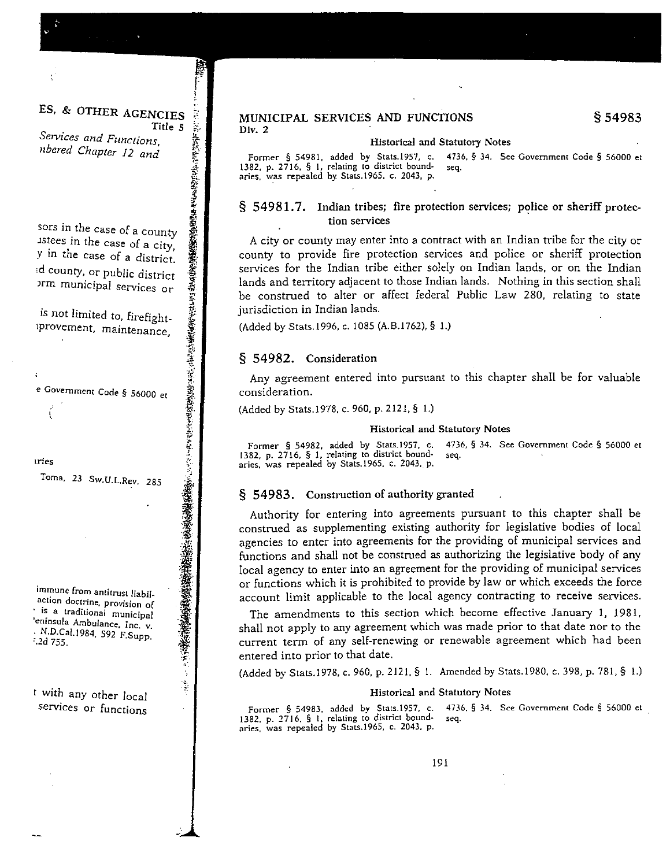ES, & OTHER AGENCIES Title 5 Services and Functions,

~

.. ..

~-'

*nbered Chapter 12 and* 

sors in the case of a county JS~ees **in the case of a city,**  y in the case of a district. d county, or public district **Jrm municipal services or** 

is not limited to, firefight**tprovement, maintenance**  '

*e* **Government Code** *§* **56000 et** 

**•ries** 

 $\cdot$ 

**Toma, 23 Sw.U.L.Rev. 285** 

immune from antitrust liabilaction doctrine, provision of : ·~ **a traditional municipal**  'eninsula Ambulance, Inc. v. · N.D.Cal.1984, 592 F.Supp.<br><sup>?</sup> 2d 755.

t with any other local **services or functions** 

#### MUNICIPAL SERVICES AND FUNCTIONS Div. 2

#### **Historical and Statutory Notes**

**Former § 54981, added by Stats.l957, c. 4736, § 34. See Government Code§ 56000 et**  1382, p. 2716, § 1, relating to district boundaries, was repealed by Stats.1965. c. 2043, p.

#### § 54981.7. Indian tribes; fire protection services; police or sheriff protec**tion services**

*A* city or county may enter into a contract with an Indian tribe for the city or county to provide fire protection services and police or sheriff protection services for the Indian tribe either solely on Indian lands, or on the Indian lands and territory adjacent to those Indian lands. Nothing in this section shall be construed to alter or affect federal Public Law 280, relating to state jurisdiction in Indian lands.

(Added by Stats.1996, c. 1085 (A.B.1762), § 1.)

#### § 54982. Consideration

Any agreement entered into pursuant to this chapter shall be for valuable **consideration.** 

(Added by Stats.1978, c. 960, p. 2121, § 1.)

#### **Historical and Statutory Notes**

**Former § 54982, added by Stats.l957, c. 4736, § 34. See Government Code§ 56000 et 1382, p. 2716, § 1, relating to district bound- seq.**  aries, was repealed by Stats.1965, c. 2043, p.

#### § 54983. Construction of authority granted

Authority for entering into agreements pursuant to this chapter shall be construed as supplementing existing authority for legislative bodies of local agencies to enter into agreements for the providing of municipal services and functions and shall not be construed as authorizing the legislative body of any local agency to enter into an agreement for the providing of municipal services or functions which it is prohibited to provide by law or which exceeds the force account limit applicable to the local agency contracting to receive services.

The amendments to this section which become effective January I, 1981, shall not apply to any agreement which was made prior to that date nor to the current term of any self-renewing or renewable agreement which had been entered into prior to that date.

(Added by Stats.1978, c. 960, p. 2121. § I. Amended by Stats.1980. c. 398, p. 781, § !.)

#### **Historical and Statutory Notes**

Former § 54983, added by Stats.1957, c. 4736, § 34. See Government Code § 56000 et **1382. p. 2716. § 1. relating to district bound- seq. aries, was repealed by Stats.1965, c. 2043, p.**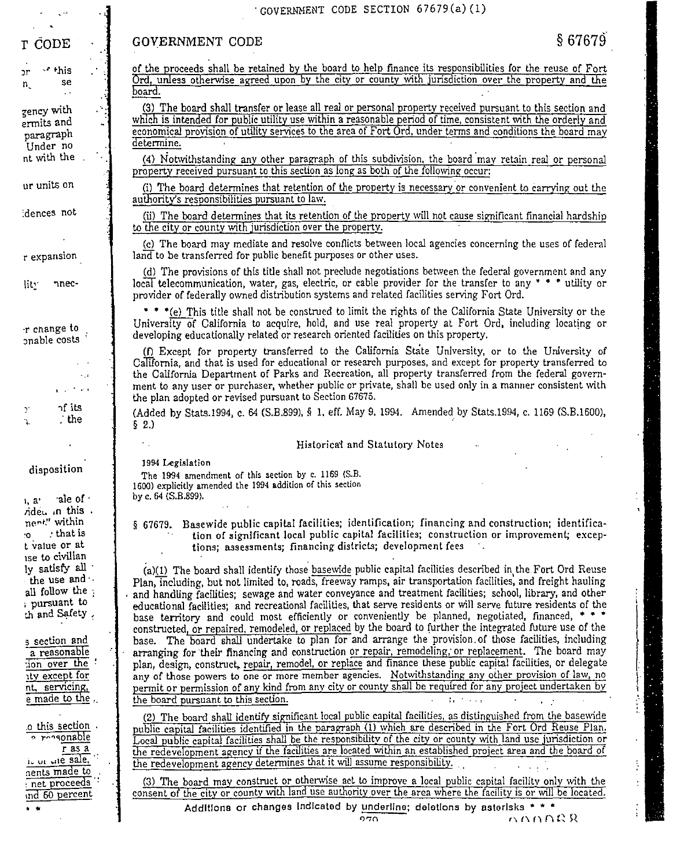#### GOVERNMENT CODE SECTION 67679(a)(1)

## **GOVERNMENT CODE**

← this n. se  $\mathsf{n}$ 

T CODE

zency with ermits and paragraph Under no

 $\ddotsc$ 

nt with the

ur units on

dences not

r expansion

lity nnec-

r change to onable costs

> $\sim 1$ وللمراجع of its

 $-$ the

disposition

ale of t  $1, 2$ <sup> $*$ </sup> rided in this. nert" within that is 10. t value or at ise to civilian ly satisfy all the use and  $\cdot$ all follow the : pursuant to th and Safety,

s section and a reasonable tion over the : ity except for nt, servicing, e made to the ..

o this section o rogonable  $r$  as a it or the sale. nents made to : net proceeds ind 60 percent 电电

of the proceeds shall be retained by the board to help finance its responsibilities for the reuse of Fort Ord, unless otherwise agreed upon by the city or county with jurisdiction over the property and the board.

(3) The board shall transfer or lease all real or personal property received pursuant to this section and which is intended for public utility use within a reasonable period of time, consistent with the orderly and economical provision of utility services to the area of Fort Ord, under terms and conditions the board may determine.

(4) Notwithstanding any other paragraph of this subdivision, the board may retain real or personal property received pursuant to this section as long as both of the following occur:

(i) The board determines that retention of the property is necessary or convenient to carrying out the authority's responsibilities pursuant to law.

(ii) The board determines that its retention of the property will not cause significant financial hardship to the city or county with jurisdiction over the property.

(c) The board may mediate and resolve conflicts between local agencies concerning the uses of federal land to be transferred for public benefit purposes or other uses.

(d) The provisions of this title shall not preclude negotiations between the federal government and any local telecommunication, water, gas, electric, or cable provider for the transfer to any \* \* \* utility or provider of federally owned distribution systems and related facilities serving Fort Ord.

\* \* \*(e) This title shall not be construed to limit the rights of the California State University or the University of California to acquire, hold, and use real property at Fort Ord, including locating or developing educationally related or research oriented facilities on this property.

(f) Except for property transferred to the California State University, or to the University of California, and that is used for educational or research purposes, and except for property transferred to the California Department of Parks and Recreation, all property transferred from the federal government to any user or purchaser, whether public or private, shall be used only in a manner consistent with the plan adopted or revised pursuant to Section 67675.

(Added by Stats.1994, c. 64 (S.B.899), § 1, eff. May 9, 1994. Amended by Stats.1994, c. 1169 (S.B.1600),  $\S$  2.)

#### Historical and Statutory Notes

1994 Legislation

The 1994 amendment of this section by c. 1169 (S.B. 1600) explicitly amended the 1994 addition of this section by c. 64 (S.B.899).

§ 67679. Basewide public capital facilities; identification; financing and construction; identification of significant local public capital facilities; construction or improvement; exceptions; assessments; financing districts; development fees

(a)(1) The board shall identify those basewide public capital facilities described in the Fort Ord Reuse Plan, including, but not limited to, roads, freeway ramps, air transportation facilities, and freight hauling and handling facilities; sewage and water conveyance and treatment facilities; school, library, and other educational facilities; and recreational facilities, that serve residents or will serve future residents of the base territory and could most efficiently or conveniently be planned, negotiated, financed, \* \* \* constructed, or repaired, remodeled, or replaced by the board to further the integrated future use of the base. The board shall undertake to plan for and arrange the provision of those facilities, including arranging for their financing and construction or repair, remodeling, or replacement. The board may plan, design, construct, repair, remodel, or replace and finance these public capital facilities, or delegate any of those powers to one or more member agencies. Notwithstanding any other provision of law, no permit or permission of any kind from any city or county shall be required for any project undertaken by the board pursuant to this section. **Taracterize** 

(2) The board shall identify significant local public capital facilities, as distinguished from the basewide public capital facilities identified in the paragraph (1) which are described in the Fort Ord Reuse Plan. Local public capital facilities shall be the responsibility of the city or county with land use jurisdiction or the redevelopment agency if the facilities are located within an established project area and the board of the redevelopment agency determines that it will assume responsibility.

(3) The board may construct or otherwise act to improve a local public capital facility only with the consent of the city or county with land use authority over the area where the facility is or will be located.

Additions or changes indicated by underline; deletions by asterisks \* \* \* nnnng &  $270$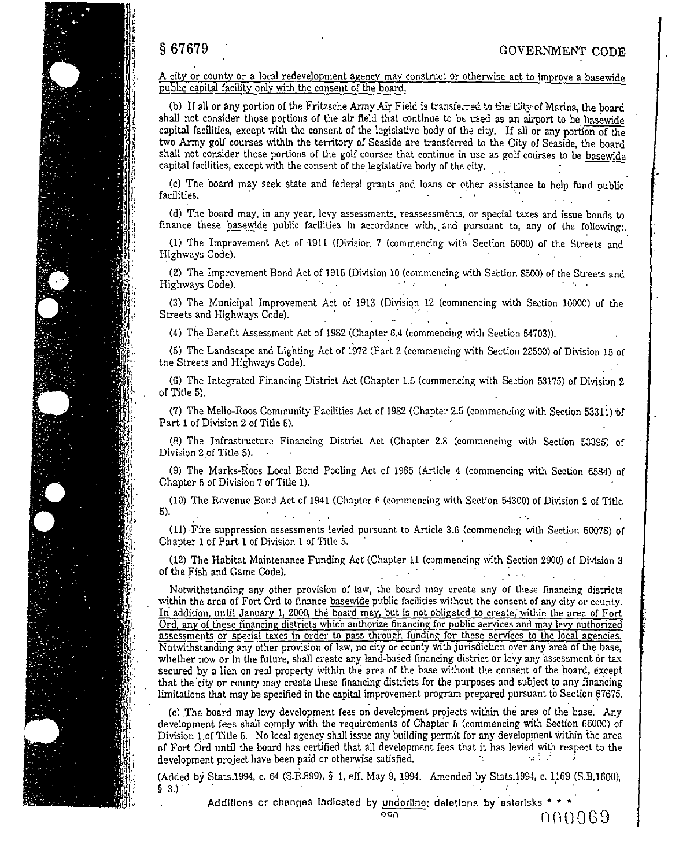A city or county or a local redevelopment agency may construct or otherwise act to improve a basewide public capital facility only with the consent of the board.

(b) If all or any portion of the Fritzsche Army Air Field is transferred to the City of Marina, the board shall not consider those portions of the air field that continue to be used as an airport to be basewide capital facilities, except with the consent of the legislative body of the city. If all or any portion of the two Army golf courses within the territory of Seaside are transferred to the City of Seaside, the board shall not consider those portions of the golf courses that continue in use as golf courses to be basewide capital facilities, except with the consent of the legislative body of the city.

(c) The board may seek state and federal grants and loans or other assistance to help fund public facilities. · ·· · . · · ·. . . .

(d) The board may, in any year, levy assessments, reassessments, or special taxes and issue bonds to finance these basewide public facilities in accordance with, and pursuant to, any of the following:.

(1) The Improvement Act of ·1911 (Division 7 (commencing with Section 5000) of the Streets and Highways Code).

(2) The Improvement Bond Act of 1915 (Division 10 (commencing with Section 8500) of the Streets and Highways Code).

(3) The Municipal Improvement Act of 1913 (Division 12 (commencing with Section 10000) of the Streets and Highways Code).

(4) The Benefit Assessment Act of 1982 (Chapter 6.4 (commencing \vith Section 54703)).

(5) The Landscape and Lighting Act of 1972 (Part 2 (commencing with Section 22500) of Division 15 of the Streets and Highways Code).

(6) The Integrated Financing District Act (Chapter 1.5 (commencing \vith. Section 53175) of Division 2 of Title 5).

(7) The Mello-Roos Community Facilities Act of 1982 (Chapter 2.5 (commencing \vith Section 5331i) ·of Part 1 of Division 2 of Title 5).

(8) The Infrastructure Financing District Act (Chapter 2.8 (commencing with Section 53395) of Division 2.of Title 5).

(9) The Marks-Roos Local Bond Pooling Act of 1985 (Article 4 (commencing \vith Section 6584) of Chapter 5 of Division 7 of Title 1).

(10) The Revenue Bond Act of 1941 (Chapter 6 (commencing with Section 54300) of Division 2 of Title 5).

(11) Fire suppression assessments levied pursuant to Article 3.6 (commencing with Section 50078) of Chapter 1 of Part 1 of Division 1 of Title 5.

(12) The Habitat Maintenance Funding Act (Chapter 11 (commencing \Vith Section 2900) of Division 3 of the Fish and Game Code). · ·

Notwithstanding any other provision of law, the board may create any of these financing districts within the area of Fort Ord to finance basewide public facilities without the consent of any city or county. In' addition, until January 1, 2000, the board may, but is not obligated to create, within the area of Fort Ord, any of these financing districts which authorize financing for public services and mav levy authorized **assessments or spedal taxes in order to pass through funding for these services to the local agencies.**  Notwithstanding any other provision of law, no city or county with jurisdiction over any area of the base, whether now or in the future, shall create any land-based financing district or levy any assessment or tax secured by a lien on real property within the area of the base without the consent of the board, except that the city or county may create these financing districts for the purposes and subject to any financing limitations that may be specified in the capital improvement program prepared pursuant to Section 67675.

(e) The board may levy development fees on development projects within the area of the base. Any development fees shall comply with the requirements of Chapter 5 (commencing with Section 66000) of Division l.of Title 5. No local agency shall issue any building permit for any development within the area of Fort Ord until the board has certified that all development fees that it has levied with respect to the development project have been paid or otherwise satisfied.  $\therefore$  ...  $\therefore$ 

(Added by Stats.1994, c. 64 (S.B.899), § 1, eff. May 9, 1994. Amended by Stats.1994, c. 1169 (S.B.1600), § 3.).

Additions or changes indicated by underline; deletions by asterisks \* \* \*  $\cap$  () ()  $0.69$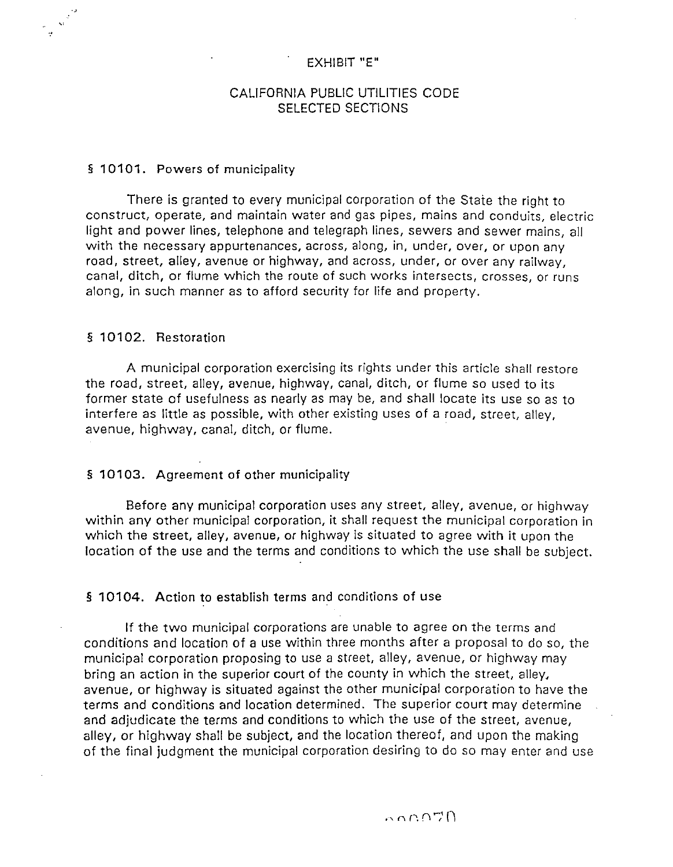## EXHIBIT "E"

## CALIFORNIA PUBLIC UTILITIES CODE SELECTED SECTIONS

## § 10101. Powers of municipality

There is granted to every municipal corporation of the State the right to construct, operate, and maintain water and gas pipes, mains and conduits, electric light and power lines, telephone and telegraph lines, sewers and sewer mains, all with the necessary appurtenances, across, along, in, under, over, or upon any road, street, alley, avenue or highway, and across, under, or over any railway, canal, ditch, or flume which the route of such works intersects, crosses, or runs along, in such manner as to afford security for life and property.

## § 10102. Restoration

A municipal corporation exercising its rights under this article shall restore the road, street, alley, avenue, highway, canal, ditch, or flume so used to its former state of usefulness as nearly as may be, and shall locate its use so as to interfere as little as possible, with other existing uses of a road, street, alley, avenue, highway, canal, ditch, or flume.

### § 10103. Agreement of other municipality

Before any municipal corporation uses any street, alley, avenue, or highway within any other municipal corporation, it shall request the municipal corporation in which the street, alley, avenue, or highway is situated to agree with it upon the location of the use and the terms and conditions to which the use shall be subject.

## § 10104. Action to establish terms and conditions of use

If the two municipal corporations are unable to agree on the terms and conditions and location of a use within three months after a proposal to do so, the municipal corporation proposing to use a street, alley, avenue, or highway may bring an action in the superior court of the county in which the street, alley, avenue, or highway is situated against the other municipal corporation to have the terms and conditions and location determined. The superior court may determine and adjudicate the terms and conditions to which the use of the street, avenue, alley, or highway shall be subject, and the location thereof, and upon the making of the final judgment the municipal corporation desiring to do so may enter and use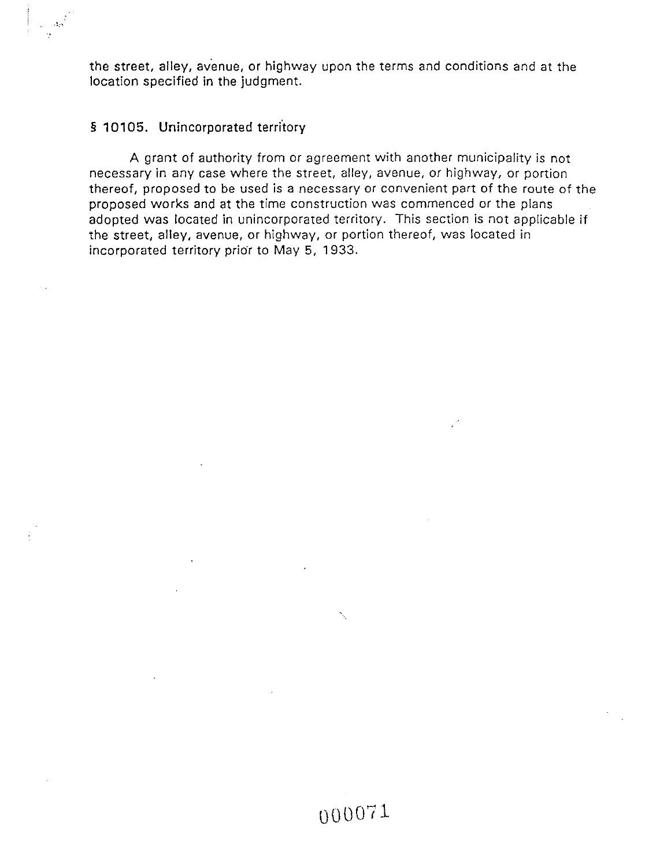the street, alley, avenue, or highway upon the terms and conditions and at the location specified in the judgment.

## § **10105.** Unincorporated territory

 $\label{eq:2} \omega = \Delta \sigma^{\frac{1}{2}}$ 

A grant of authority from or agreement with another municipality is not necessary in any case where the street, alley, avenue, or highway, or portion thereof, proposed to be used is a necessary or convenient part of the route of the proposed works and at the time construction was commenced or the plans adopted was located in unincorporated territory. This section is not applicable if the street, alley, avenue, or highway, or portion thereof, was located in incorporated territory prior to May 5, 1933.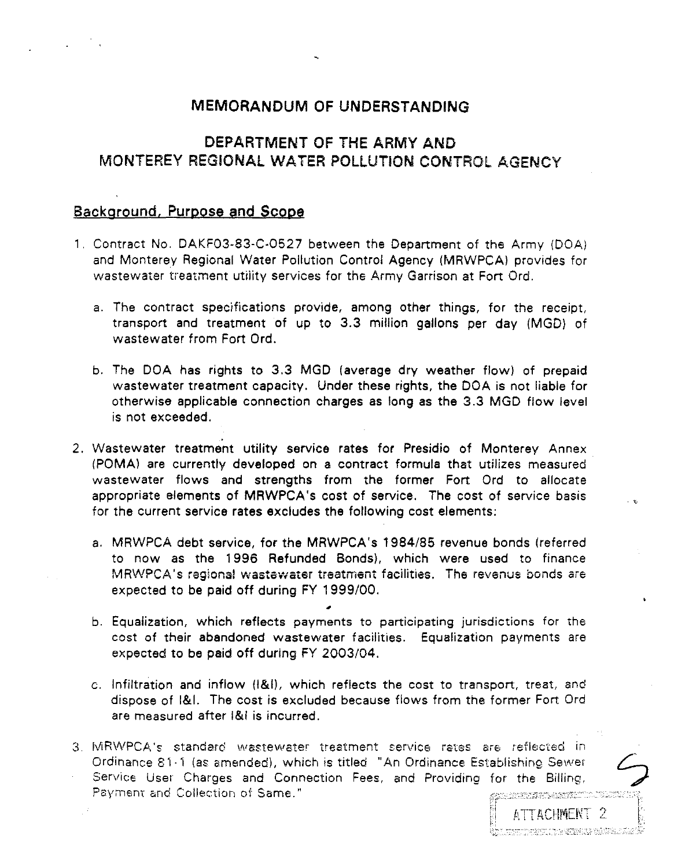## MEMORANDUM OF UNDERSTANDING

## DEPARTMENT OF THE ARMY AND MONTEREY REGIONAl WATER POLLUTION CONTROL AGENCY

## Background, Purpose and Scope

- 1. Contract No. DAKF03-83-C-0527 between the Department of the Army (DOA) and Monterey Regional Water Pollution Control Agency (MRWPCA) provides for wastewater treatment utiiity services for the Army Garrison at Fort Ord.
	- a. The contract specifications provide, among other things, for the receipt, transport and treatment of up to 3.3 million gallons per day (MGD) of wastewater from Fort Ord.
	- b. The DOA has rights to 3.3 MGD (average dry weather flow) of prepaid wastewater treatment capacity. Under these rights, the DOA is not liable for otherwise applicable connection charges as long as the 3.3 MGD flow level is not exceeded.
- 2. Wastewater treatment utility service rates for Presidio of Monterey Annex (POMA) are currently developed on a contract formula that utilizes measured wastewater flows and strengths from the former Fort Ord to allocate appropriate elements of MRWPCA 's cost of service. The cost of service basis for the current service rates excludes the following cost elements:

. '

- a. MRWPCA debt service, for the MRWPCA's 1984/85 revenue bonds (referred to now as the 1996 Refunded Bonds), which were used to finance MRWPCA's regional wastewater treatment facilities. The revenus bonds are expected to be paid off during FY 1999/00.
- b. Equalization, which reflects payments to participating jurisdictions for the cost of their abandoned wastewater facilities. Equalization payments are expected to be paid off during FY 2003/04.
- c. Infiltration and inflow (1&1), which reflects the cost to transport, treat, and dispose of 1&1. The cost is excluded because flows from the former Fort Ord are measured after 1&1 is incurred.
- 3. MRWPCA's standard wastewater treatment service rates are reflected in Ordinance 81·1 (as amended), which is titled "An Ordinance Establishing Sewer Service User Charges and Connection Fees, and Providing for the Billing, Payment and Collection of Same."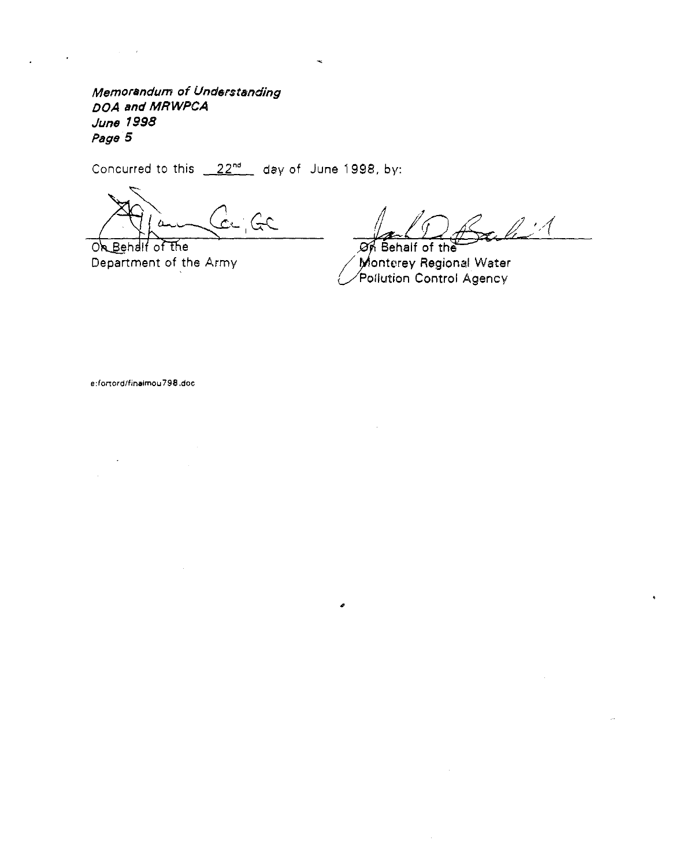Memorandum of Understanding DOA **and** MRWPCA June 1998 Page 5

Concurred to this  $22^{nd}$  day of June 1998, by:

de GC  $\Lambda$ 

On Behalf of the Department of the Army

 $\mathbb{Z}^2$  $\cancel{\mathcal{O}r}$  Behalf of the

 $\angle$  Monterey Regional Water Pollution Control Agency

**e :fortord/finalmou 798 .doc**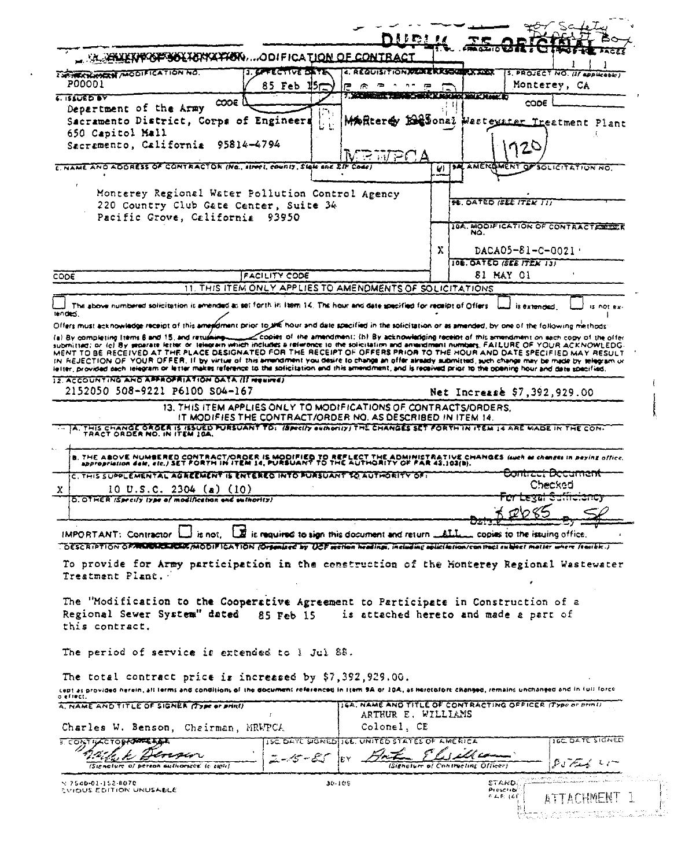|                                                                                                                                                                                                                                                                                                                                                                                                                                                |                                                                                            |            |                                                     | hue <u>ur</u> |    |                                      | 89. G                                                      |                        |
|------------------------------------------------------------------------------------------------------------------------------------------------------------------------------------------------------------------------------------------------------------------------------------------------------------------------------------------------------------------------------------------------------------------------------------------------|--------------------------------------------------------------------------------------------|------------|-----------------------------------------------------|---------------|----|--------------------------------------|------------------------------------------------------------|------------------------|
| <b>ALAHUKKIPKEFSELTERIATEK,  ODIFICATION OF CONTRACT</b>                                                                                                                                                                                                                                                                                                                                                                                       |                                                                                            |            |                                                     |               |    | <b>MAGLIO ESTET CO</b>               | <b>HACK-10</b>                                             | ACES                   |
| <b>EXPIRATION WOOD FICATION NO.</b>                                                                                                                                                                                                                                                                                                                                                                                                            | <b>J. GPFECTIVE DATE</b>                                                                   |            | 4. REQUISITION REALER KASSAL PARAME                 |               |    |                                      | S. PROJECT NO. (If applicable)                             |                        |
| P00001                                                                                                                                                                                                                                                                                                                                                                                                                                         | 85 Feb $15-$                                                                               |            | ₽<br>R.<br>≂                                        | n =<br>œ      |    |                                      | Monterey, CA                                               |                        |
| <u>. នលសស</u>                                                                                                                                                                                                                                                                                                                                                                                                                                  | $\infty$                                                                                   |            | <b>Britannica Company</b>                           |               |    | <b>EER KAN HOUR DEALER BE</b>        | လဝေ                                                        |                        |
| Department of the Army                                                                                                                                                                                                                                                                                                                                                                                                                         |                                                                                            |            |                                                     |               |    |                                      |                                                            |                        |
| Sacramento District, Corps of Engineers                                                                                                                                                                                                                                                                                                                                                                                                        |                                                                                            |            |                                                     |               |    |                                      | Mafterey Elesonal Westevater Treatment Plant               |                        |
| 650 Capitol Mall                                                                                                                                                                                                                                                                                                                                                                                                                               |                                                                                            |            |                                                     |               |    |                                      |                                                            |                        |
| Sacramento, California 95814-4794                                                                                                                                                                                                                                                                                                                                                                                                              |                                                                                            |            |                                                     |               |    |                                      | 120                                                        |                        |
| C. NAME AND ADDRESS OF CONTRACTOR (No., street, counts, State and LIF Code)                                                                                                                                                                                                                                                                                                                                                                    |                                                                                            |            | $\mathsf{V}_1 \subseteq \mathbb{N} \neq \mathbb{C}$ |               |    |                                      | <b>SAL AMERQMENT OF SOLICITATION NO</b>                    |                        |
|                                                                                                                                                                                                                                                                                                                                                                                                                                                |                                                                                            |            |                                                     |               | U. |                                      |                                                            |                        |
| Monterey Regional Water Pollution Control Agency                                                                                                                                                                                                                                                                                                                                                                                               |                                                                                            |            |                                                     |               |    |                                      |                                                            |                        |
| 220 Country Club Gate Center, Suite 34                                                                                                                                                                                                                                                                                                                                                                                                         |                                                                                            |            |                                                     |               |    | <b><i>DE DATED ISEE ITEM TIT</i></b> |                                                            |                        |
| Pacific Grove, California 93950                                                                                                                                                                                                                                                                                                                                                                                                                |                                                                                            |            |                                                     |               |    |                                      |                                                            |                        |
|                                                                                                                                                                                                                                                                                                                                                                                                                                                |                                                                                            |            |                                                     |               |    | NO.                                  | 104. MOOIFICATION OF CONTRACTEDED E                        |                        |
|                                                                                                                                                                                                                                                                                                                                                                                                                                                |                                                                                            |            |                                                     |               |    |                                      |                                                            |                        |
|                                                                                                                                                                                                                                                                                                                                                                                                                                                |                                                                                            |            |                                                     |               | Х  |                                      |                                                            | DACA05-81-C-0021       |
|                                                                                                                                                                                                                                                                                                                                                                                                                                                |                                                                                            |            |                                                     |               |    | <b>10E. GATED ISEE ITEN 131</b>      |                                                            |                        |
| CODE                                                                                                                                                                                                                                                                                                                                                                                                                                           | <b>FACILITY CODE</b>                                                                       |            |                                                     |               |    | <b>81 MAY 01</b>                     |                                                            |                        |
|                                                                                                                                                                                                                                                                                                                                                                                                                                                | 11. THIS ITEM ONLY APPLIES TO AMENOMENTS OF SOLICITATIONS                                  |            |                                                     |               |    |                                      |                                                            |                        |
| The above numbered solicitation is amended as set forth in item 14. The hour and date specified for receipt of Offers                                                                                                                                                                                                                                                                                                                          |                                                                                            |            |                                                     |               |    |                                      |                                                            | is not ex-             |
| MENT TO BE RECEIVED AT THE PLACE DESIGNATED FOR THE RECEIPT OF OFFERS PRIOR TO THE HOUR AND DATE SPECIFIED MAY RESULT<br>IN REJECTION OF YOUR OFFER. If by virtue of this arrandment you desire to change an offer already submitted, such change may be made by telegram or<br>ialter, provided each telegram or letter makes reference to the soficitation and this amendment, and is received prior to the opening hour and date specified. |                                                                                            |            |                                                     |               |    |                                      |                                                            |                        |
| 12. ACCOUNTING AND APPROPRIATION OATA (If resulted)<br>2152050 508-9221 P6100 S04-167                                                                                                                                                                                                                                                                                                                                                          |                                                                                            |            |                                                     |               |    |                                      | Net Increase \$7,392,929.00                                |                        |
|                                                                                                                                                                                                                                                                                                                                                                                                                                                | 13. THIS ITEM APPLIES ONLY TO MODIFICATIONS OF CONTRACTS/ORDERS.                           |            |                                                     |               |    |                                      |                                                            |                        |
|                                                                                                                                                                                                                                                                                                                                                                                                                                                | IT MODIFIES THE CONTRACT/ORDER NO. AS DESCRIBED IN ITEM 14.                                |            |                                                     |               |    |                                      |                                                            |                        |
| B. THE ABOVE NUMBERED CONTRACT/ORDER IS MODIFIED TO REFLECT THE ADMINISTRATIVE CHANGES (such as changes in peying office,<br>- appropriation delt, etc.) SET FORTH IN ITEM 14, PURSUANT TO THE AUTHORITY OF FAR 43,103(b).<br>C. THIS SUPPLEMENTAL AGREEMENT IS ENTERED INTO FURSUANT TO AUTHORITY OF:                                                                                                                                         |                                                                                            |            |                                                     |               |    |                                      | <b>CONNECTS ZOCONNEN</b>                                   |                        |
|                                                                                                                                                                                                                                                                                                                                                                                                                                                |                                                                                            |            |                                                     |               |    |                                      | Checked                                                    |                        |
| 10 U.S.C. 2304 (a) (10)<br>D. OTHER (Specify type of modification and outhority)                                                                                                                                                                                                                                                                                                                                                               |                                                                                            |            |                                                     |               |    |                                      | <u>th rekal cometen</u>                                    |                        |
|                                                                                                                                                                                                                                                                                                                                                                                                                                                |                                                                                            |            |                                                     |               |    |                                      |                                                            |                        |
|                                                                                                                                                                                                                                                                                                                                                                                                                                                |                                                                                            |            |                                                     |               |    |                                      |                                                            |                        |
| $IMPORTANT: Contraction \L{listnot.}$                                                                                                                                                                                                                                                                                                                                                                                                          | is required to sign this document and return _______________ copies to the issuing office. |            |                                                     |               |    |                                      |                                                            |                        |
| COESCRIPTION OF MURILE EST MODIFICATION (Organized by UCF section headings, including solici follow/contract subject matter where fearible.)<br>To provide for Army participation in the construction of the Honterey Regional Wastewater<br>Treatment Plant.                                                                                                                                                                                  |                                                                                            |            |                                                     |               |    |                                      |                                                            |                        |
| The "Modification to the Cooperative Agreement to Participate in Construction of a<br>Regional Sewer System" dated<br>this contract.                                                                                                                                                                                                                                                                                                           | 85 Feb 15                                                                                  |            |                                                     |               |    |                                      | is attached hereto and made a part of                      |                        |
| The period of service is extended to I Jul 88.                                                                                                                                                                                                                                                                                                                                                                                                 |                                                                                            |            |                                                     |               |    |                                      |                                                            |                        |
| The total contract price is increased by $$7,392,929.00.$<br>cept as provided herein, all lerms and conditions of the document referenced in Item 9A or 10A, as heretofore changed, remains unchanged and in full force                                                                                                                                                                                                                        |                                                                                            |            |                                                     |               |    |                                      |                                                            |                        |
| s effect.<br>A. NAME AND TITLE OF SIGNER (TYPE OF PHRI)                                                                                                                                                                                                                                                                                                                                                                                        |                                                                                            |            |                                                     |               |    |                                      | 16A. NAME AND TITLE OF CONTRACTING OFFICER (Type or print) |                        |
|                                                                                                                                                                                                                                                                                                                                                                                                                                                |                                                                                            |            | ARTHUR E. WILLIAMS                                  |               |    |                                      |                                                            |                        |
| Charles W. Benson, Chairman, MRWPCA                                                                                                                                                                                                                                                                                                                                                                                                            |                                                                                            |            | Colonel, CE                                         |               |    |                                      |                                                            |                        |
| <b>S. CONTRACTORRAPTER AND</b>                                                                                                                                                                                                                                                                                                                                                                                                                 |                                                                                            |            | ISC DAYE SIGNEDITIE, UNITED STATES OF AMERICA       |               |    |                                      |                                                            | <b>IGE DATE SIGNED</b> |
|                                                                                                                                                                                                                                                                                                                                                                                                                                                |                                                                                            |            |                                                     |               |    |                                      |                                                            |                        |
| (Signature of person authorized to sign)                                                                                                                                                                                                                                                                                                                                                                                                       |                                                                                            |            |                                                     |               |    | (Signature of Contracting Officer)   | معدسم الدميم                                               |                        |
| $\frac{1}{2}$ 7540-01-152-8070                                                                                                                                                                                                                                                                                                                                                                                                                 |                                                                                            | $30 - 105$ |                                                     |               |    | stard                                |                                                            |                        |
| EVIOUS EDITION UNUSABLE                                                                                                                                                                                                                                                                                                                                                                                                                        |                                                                                            |            |                                                     |               |    | Prescribi<br>$0.45\pm0.1$            |                                                            | 上卫し冒助巨折」               |

| . .                                                                                                                                                                                                                                   |  |  | 医肾上腺 医马克氏试验检尿素 医细胞性贫血 |                                                   |  |
|---------------------------------------------------------------------------------------------------------------------------------------------------------------------------------------------------------------------------------------|--|--|-----------------------|---------------------------------------------------|--|
| -81<br>dialection of the construction of the product of the construction of the construction of the construction of the construction of the construction of the construction of the construction of the construction of the construct |  |  |                       | <b>ALCOHOL:</b>                                   |  |
|                                                                                                                                                                                                                                       |  |  |                       | A Paper of Police of Louis of Beauty and a series |  |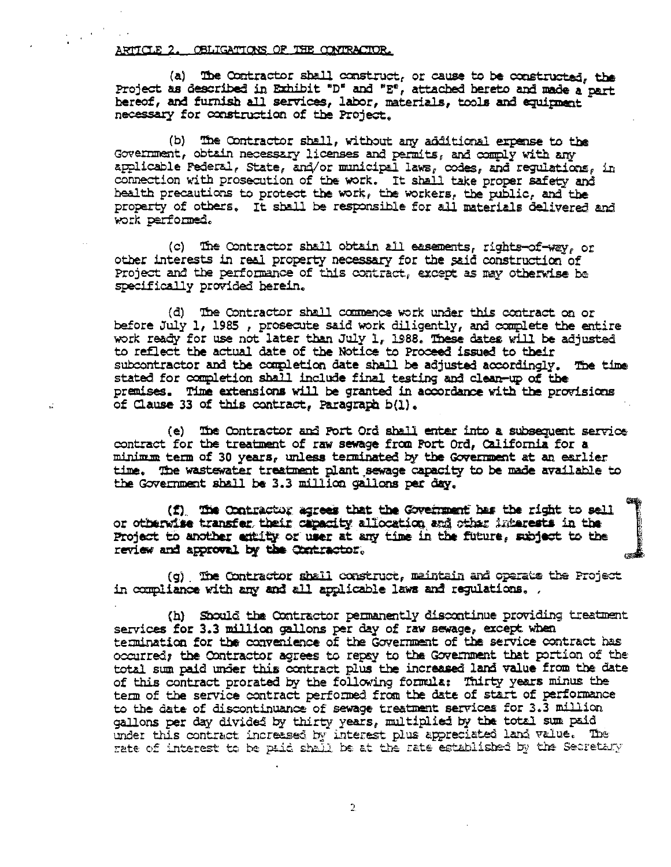ARTICLE 2. OBLIGATIONS OF THE CONTRACTOR.

(a) The Contractor shall construct, or cause to be constructed, the Project as described in Exhibit "D" and "E", attached bereto and made a part hereof, and furnish all services, labor, materials, tools and equipment necessary for construction of the Project.

(b) The Contractor shall, without any additional expense to the Government, obtain necessary licenses and permits, and comply with any applicable Federal, State, and/or municipal laws, codes, and regulations, in connection with prosecution of the work. It shall take proper safety and health precautions to protect the work, the workers, the public, and the property of others. It shall be responsible for all materials delivered and work performed.

(c) The Contractor shall obtain all easements, rights-of-way, or other interests in real property necessary for the said construction of Project and the performance of this contract, except as may otherwise be specifically provided herein.

(d) The Contractor shall commence work under this contract on or before July 1, 1985, prosecute said work diligently, and complete the entire work ready for use not later than July 1, 1988. These dates will be adjusted to reflect the actual date of the Notice to Proceed issued to their subcontractor and the completion date shall be adjusted accordingly. The time stated for completion shall include final testing and clean-up of the premises. Time extensions will be granted in accordance with the provisions of Clause 33 of this contract, Paragraph b(1).

(e) The Contractor and Fort Ord shall enter into a subsequent service contract for the treatment of raw sewage from Fort Ord, California for a minimum term of 30 years, unless terminated by the Government at an earlier time. The wastewater treatment plant sewage capacity to be made available to the Government shall be 3.3 million gallons per day.

(f) The Contractor agrees that the Government has the right to sell or otherwise transfer, their capacity allocation and other interests in the Project to another entity or user at any time in the future, subject to the review and approval by the Contractor.

(g) The Contractor shall construct, maintain and operate the Project in compliance with any and all applicable laws and regulations, .

(h) Should the Contractor permanently discontinue providing treatment services for 3.3 million gallons per day of raw sewage, except when termination for the convenience of the Government of the service contract has occurred; the Contractor agrees to repsy to the Government that portion of the total sum paid under this contract plus the increased land value from the date of this contract prorated by the following formula: Thirty years minus the term of the service contract performed from the date of start of performance to the date of discontinuance of sewage treatment services for 3.3 million gallons per day divided by thirty years, multiplied by the total sum paid under this contract increased by interest plus appreciated land value. The rate of interest to be paid shall be at the rate established by the Secretary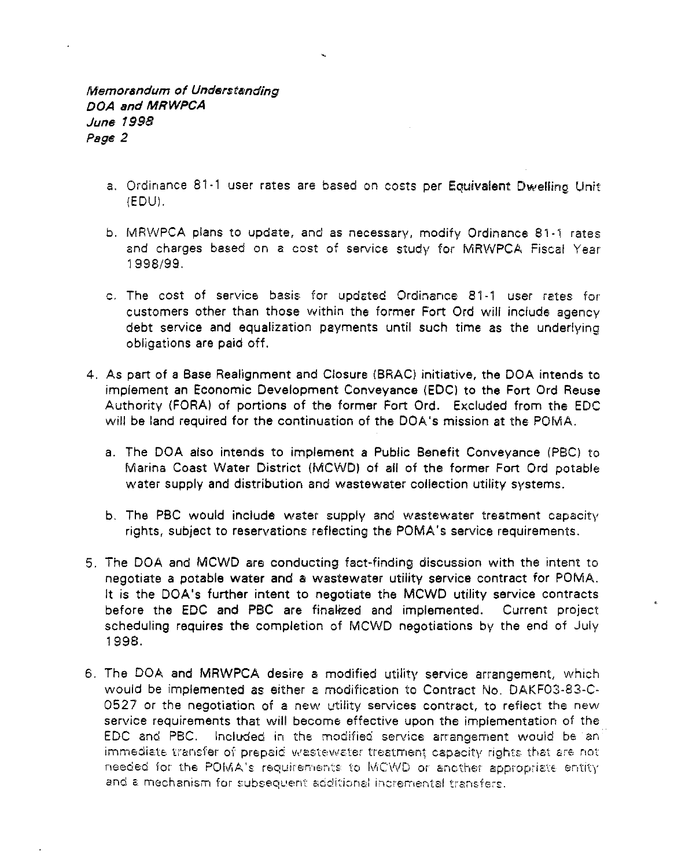- a. Ordinance 81-1 user rates are based on costs per Equivalent Dwelling Unit (EDUI.
- b. MRWPCA plans to update, and as necessary, modify Ordinance 81-1 rates and charges based on a cost of service study for MRWPCA Fiscal Year 1998/99.
- c. The cost of service basis for updsted Ordinance 81·1 user rates for customers other than those within the former Fort Ord will include agency debt service and equalization payments until such time as the underlying obligations are paid off.
- 4. As part of a Base Realignment and Closure (BRAC) initiative, the DOA intends to implement an Economic Development Conveyance (EDCI to the Fort Ord Reuse Authority (FORA) of portions of the former Fort Ord. Excluded from the EDC will be land required for the continuation of the DOA's mission at the POMA.
	- a. The DOA also intends to implement a Public Benefit Conveyance (PBC) to Marina Coast Water District (MCWD) of all of the former Fort Ord potable water supply and distribution and wastewater collection utility systems.
	- b. The PBC would include water supply and wastewater treatment capacity rights, subject to reservations reflecting the POMA's service requirements.
- 5. The DOA and MCWD are conducting fact-finding discussion with the intent to negotiate a potable water and a wastewater utility service contract for POMA. It is the DOA's further intent to negotiate the MCWD utility service contracts before the EDC and PBC are finalfzed and implemented. Current project scheduling requires the completion of MCWD negotiations by the end of July 1998.
- 6. The DOA and MRWPCA desire a modified utility service arrangement, which would be implemented as either a modification to Contract No. DAKF03-83-C-0527 or the negotiation of a new utility services contract, to reflect the new service requirements that will become effective upon the implementation of the EDC and PBC. Included in the modified service arrangement wouid be an immediate transfer of prepaid w/astewater treatment capacity rights- that are not needed for the POMA's requirements to MCWD or another appropriate entity and a mechanism for subsequent additional incremental transfers.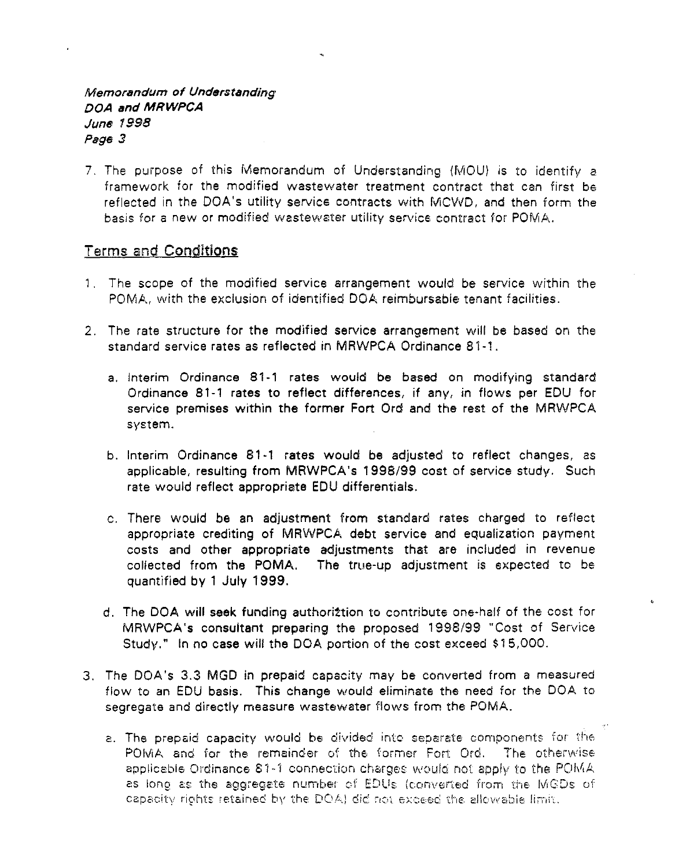## Memorandum of Understanding OOA and MRWPCA June 7998 Page 3

7. The purpose of this Memorandum of Understanding (MOU) is to identify a framework for the modified wastewater treatment contract that can first be reflected in the DOA's utility service contracts with MCWD, and then form the basis for a new or modified wastewater utility service contract for POMA.

## Terms and Conditions

- 1 . The scope of the modified service arrangement would be service within the POMA, with the exclusion of identified DOA reimbursable tenant facilities.
- 2. The rate structure for the modified service arrangement will be based on the standard service rates as reflected in MRWPCA Ordinance 81-1.
	- a. Interim Ordinance 81-1 rates would be based on modifying standard Ordinance 81-1 rates to reflect differences, if any, in flows per EDU for service premises within the former Fort Ord and the rest of the MRWPCA system.
	- b. Interim Ordinance 81-1 rates would be adjusted to reflect changes, as applicable, resulting from MRWPCA's 1998/99 cost of service study. Such rate would reflect appropriate EDU differentials.
	- c. There would be an adjustment from standard rates charged to reflect appropriate crediting of MRWPCA debt service and equalization payment costs and other appropriate adjustments that are included in revenue collected from the POMA. The true-up adjustment is expected to be quantified by 1 July 1999.
	- d. The DOA will seek funding authoriztion to contribute one-half of the cost for MRWPCA's consultant preparing the proposed 1998/99 "Cost of Service Study." In no case will the DOA portion of the cost exceed \$15,000.
- 3. The DOA's 3.3 MGD in prepaid capacity may be converted from a measured flow to an EDU basis. This change would eliminate the need for the DOA to segregate and directly measure wastewater flows from the POMA.
	- a. The prepaid capacity would be divided into separate components for the POMA and for the remainder of the former Fort Oro. The otherwise applicable Ordinance  $81-1$  connection charges: would not apply to the POMA. as long as the aggregate number of EDUs (converted from the MGDs of capacity rights retained by the DOA) did not exceed the allowable limit.